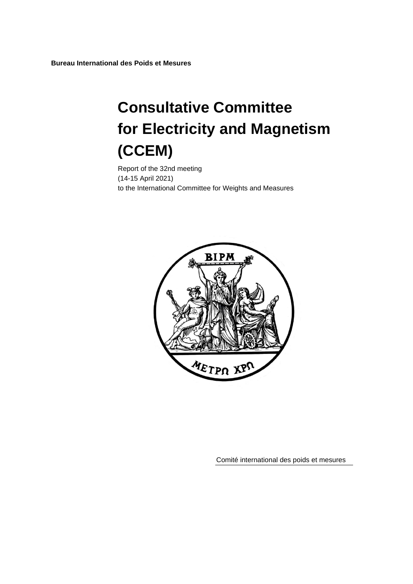**Bureau International des Poids et Mesures**

# **Consultative Committee for Electricity and Magnetism (CCEM)**

Report of the 32nd meeting (14-15 April 2021) to the International Committee for Weights and Measures



Comité international des poids et mesures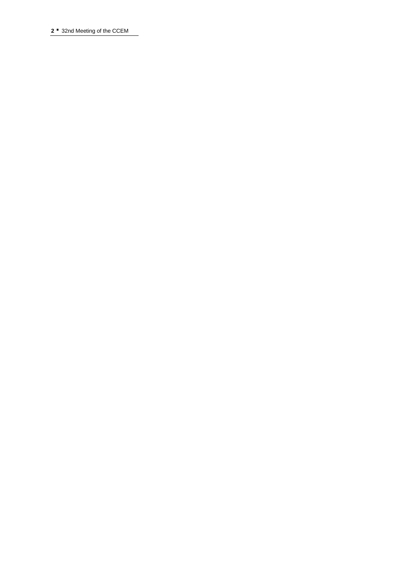**·** 32nd Meeting of the CCEM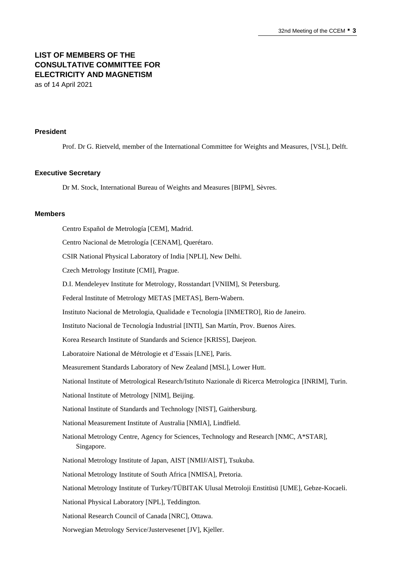# **LIST OF MEMBERS OF THE CONSULTATIVE COMMITTEE FOR ELECTRICITY AND MAGNETISM**

as of 14 April 2021

#### **President**

Prof. Dr G. Rietveld, member of the International Committee for Weights and Measures, [VSL], Delft.

#### **Executive Secretary**

Dr M. Stock, International Bureau of Weights and Measures [BIPM], Sèvres.

#### **Members**

Centro Español de Metrología [CEM], Madrid. Centro Nacional de Metrología [CENAM], Querétaro. CSIR National Physical Laboratory of India [NPLI], New Delhi. Czech Metrology Institute [CMI], Prague. D.I. Mendeleyev Institute for Metrology, Rosstandart [VNIIM], St Petersburg. Federal Institute of Metrology METAS [METAS], Bern-Wabern. Instituto Nacional de Metrologia, Qualidade e Tecnologia [INMETRO], Rio de Janeiro. Instituto Nacional de Tecnología Industrial [INTI], San Martín, Prov. Buenos Aires. Korea Research Institute of Standards and Science [KRISS], Daejeon. Laboratoire National de Métrologie et d'Essais [LNE], Paris. Measurement Standards Laboratory of New Zealand [MSL], Lower Hutt. National Institute of Metrological Research/Istituto Nazionale di Ricerca Metrologica [INRIM], Turin. National Institute of Metrology [NIM], Beijing. National Institute of Standards and Technology [NIST], Gaithersburg. National Measurement Institute of Australia [NMIA], Lindfield. National Metrology Centre, Agency for Sciences, Technology and Research [NMC, A\*STAR], Singapore. National Metrology Institute of Japan, AIST [NMIJ/AIST], Tsukuba. National Metrology Institute of South Africa [NMISA], Pretoria. National Metrology Institute of Turkey/TÜBITAK Ulusal Metroloji Enstitüsü [UME], Gebze-Kocaeli. National Physical Laboratory [NPL], Teddington. National Research Council of Canada [NRC], Ottawa. Norwegian Metrology Service/Justervesenet [JV], Kjeller.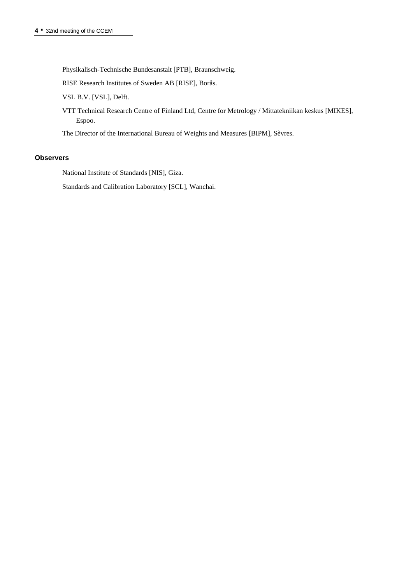Physikalisch-Technische Bundesanstalt [PTB], Braunschweig.

RISE Research Institutes of Sweden AB [RISE], Borås.

VSL B.V. [VSL], Delft.

VTT Technical Research Centre of Finland Ltd, Centre for Metrology / Mittatekniikan keskus [MIKES], Espoo.

The Director of the International Bureau of Weights and Measures [BIPM], Sèvres.

# **Observers**

National Institute of Standards [NIS], Giza.

Standards and Calibration Laboratory [SCL], Wanchai.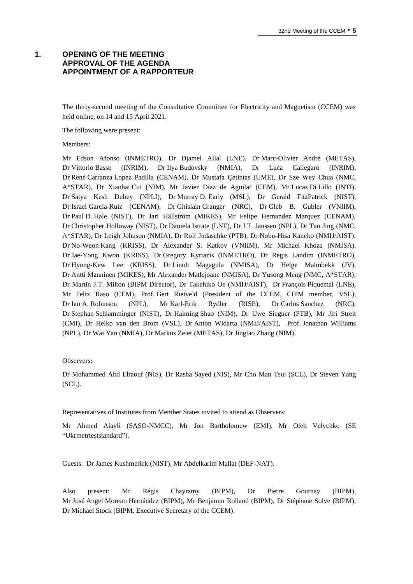# **1. OPENING OF THE MEETING APPROVAL OF THE AGENDA APPOINTMENT OF A RAPPORTEUR**

The thirty-second meeting of the Consultative Committee for Electricity and Magnetism (CCEM) was held online, on 14 and 15 April 2021.

The following were present:

Members:

Mr Edson Afonso (INMETRO), Dr Djamel Allal (LNE), Dr Marc-Olivier André (METAS), Dr Vittorio Basso (INRIM), Dr Ilya Budovsky (NMIA), Dr Luca Callegaro (INRIM), Dr René Carranza Lopez Padilla (CENAM), Dr Mustafa Çetintas (UME), Dr Sze Wey Chua (NMC, A\*STAR), Dr Xiaohai Cui (NIM), Mr Javier Diaz de Aguilar (CEM), Mr Lucas Di Lillo (INTI), Dr Satya Kesh Dubey (NPLI), Dr Murray D. Early (MSL), Dr Gerald FitzPatrick (NIST), Dr Israel Garcia-Ruiz (CENAM), Dr Ghislain Granger (NRC), Dr Gleb B. Gubler (VNIIM), Dr Paul D. Hale (NIST), Dr Jari Hällström (MIKES), Mr Felipe Hernandez Marquez (CENAM), Dr Christopher Holloway (NIST), Dr Daniela Istrate (LNE), Dr J.T. Janssen (NPL), Dr Tao Jing (NMC, A\*STAR), Dr Leigh Johnson (NMIA), Dr Rolf Judaschke (PTB), Dr Nobu-Hisa Kaneko (NMIJ/AIST), Dr No-Weon Kang (KRISS), Dr Alexander S. Katkov (VNIIM), Mr Michael Khoza (NMISA), Dr Jae-Yong Kwon (KRISS), Dr Gregory Kyriazis (INMETRO), Dr Regis Landim (INMETRO), Dr Hyung-Kew Lee (KRISS), Dr Linoh Magagula (NMISA), Dr Helge Malmbekk (JV), Dr Antti Manninen (MIKES), Mr Alexander Matlejoane (NMISA), Dr Yusong Meng (NMC, A\*STAR), Dr Martin J.T. Milton (BIPM Director), Dr Takehiko Oe (NMIJ/AIST), Dr François Piquemal (LNE), Mr Felix Raso (CEM), Prof. Gert Rietveld (President of the CCEM, CIPM member, VSL), Dr Ian A. Robinson (NPL), Mr Karl-Erik Rydler (RISE), Dr Carlos Sanchez (NRC), Dr Stephan Schlamminger (NIST), Dr Haiming Shao (NIM), Dr Uwe Siegner (PTB), Mr Jiri Streit (CMI), Dr Helko van den Brom (VSL), Dr Anton Widarta (NMIJ/AIST), Prof. Jonathan Williams (NPL), Dr Wai Yan (NMIA), Dr Markus Zeier (METAS), Dr Jingtao Zhang (NIM).

# Observers**:**

Dr Mohammed Abd Elraouf (NIS), Dr Rasha Sayed (NIS), Mr Cho Man Tsui (SCL), Dr Steven Yang (SCL).

Representatives of Institutes from Member States invited to attend as Observers:

Mr Ahmed Alayli (SASO-NMCC), Mr Jon Bartholomew (EMI), Mr Oleh Velychko (SE "Ukrmetrteststandard").

Guests: Dr James Kushmerick (NIST), Mr Abdelkarim Mallat (DEF-NAT).

Also present: Mr Régis Chayramy (BIPM), Dr Pierre Gournay (BIPM), Mr José Angel Moreno Hernández (BIPM), Mr Benjamin Rolland (BIPM), Dr Stéphane Solve (BIPM), Dr Michael Stock (BIPM, Executive Secretary of the CCEM).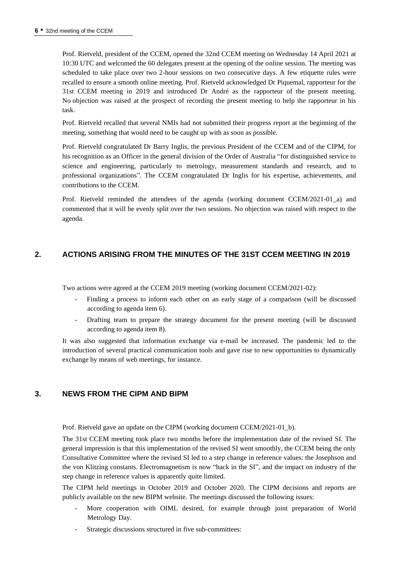Prof. Rietveld, president of the CCEM, opened the 32nd CCEM meeting on Wednesday 14 April 2021 at 10:30 UTC and welcomed the 60 delegates present at the opening of the online session. The meeting was scheduled to take place over two 2-hour sessions on two consecutive days. A few etiquette rules were recalled to ensure a smooth online meeting. Prof. Rietveld acknowledged Dr Piquemal, rapporteur for the 31st CCEM meeting in 2019 and introduced Dr André as the rapporteur of the present meeting. No objection was raised at the prospect of recording the present meeting to help the rapporteur in his task.

Prof. Rietveld recalled that several NMIs had not submitted their progress report at the beginning of the meeting, something that would need to be caught up with as soon as possible.

Prof. Rietveld congratulated Dr Barry Inglis, the previous President of the CCEM and of the CIPM, for his recognition as an Officer in the general division of the Order of Australia "for distinguished service to science and engineering, particularly to metrology, measurement standards and research, and to professional organizations". The CCEM congratulated Dr Inglis for his expertise, achievements, and contributions to the CCEM.

Prof. Rietveld reminded the attendees of the agenda (working document CCEM/2021-01\_a) and commented that it will be evenly split over the two sessions. No objection was raised with respect to the agenda.

# **2. ACTIONS ARISING FROM THE MINUTES OF THE 31ST CCEM MEETING IN 2019**

Two actions were agreed at the CCEM 2019 meeting (working document CCEM/2021-02):

- Finding a process to inform each other on an early stage of a comparison (will be discussed according to agenda item 6).
- Drafting team to prepare the strategy document for the present meeting (will be discussed according to agenda item 8).

It was also suggested that information exchange via e-mail be increased. The pandemic led to the introduction of several practical communication tools and gave rise to new opportunities to dynamically exchange by means of web meetings, for instance.

# **3. NEWS FROM THE CIPM AND BIPM**

Prof. Rietveld gave an update on the CIPM (working document CCEM/2021-01 b).

The 31st CCEM meeting took place two months before the implementation date of the revised SI. The general impression is that this implementation of the revised SI went smoothly, the CCEM being the only Consultative Committee where the revised SI led to a step change in reference values: the Josephson and the von Klitzing constants. Electromagnetism is now "back in the SI", and the impact on industry of the step change in reference values is apparently quite limited.

The CIPM held meetings in October 2019 and October 2020. The CIPM decisions and reports are publicly available on the new BIPM website. The meetings discussed the following issues:

- More cooperation with OIML desired, for example through joint preparation of World Metrology Day.
- Strategic discussions structured in five sub-committees: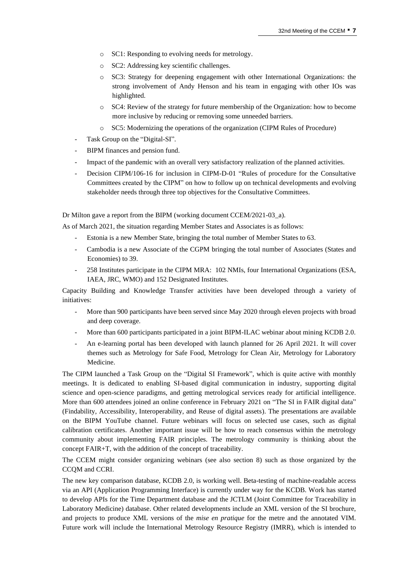- o SC1: Responding to evolving needs for metrology.
- o SC2: Addressing key scientific challenges.
- o SC3: Strategy for deepening engagement with other International Organizations: the strong involvement of Andy Henson and his team in engaging with other IOs was highlighted.
- o SC4: Review of the strategy for future membership of the Organization: how to become more inclusive by reducing or removing some unneeded barriers.
- o SC5: Modernizing the operations of the organization (CIPM Rules of Procedure)
- Task Group on the "Digital-SI".
- BIPM finances and pension fund.
- Impact of the pandemic with an overall very satisfactory realization of the planned activities.
- Decision CIPM/106-16 for inclusion in CIPM-D-01 "Rules of procedure for the Consultative Committees created by the CIPM" on how to follow up on technical developments and evolving stakeholder needs through three top objectives for the Consultative Committees.

Dr Milton gave a report from the BIPM (working document CCEM/2021-03\_a).

As of March 2021, the situation regarding Member States and Associates is as follows:

- Estonia is a new Member State, bringing the total number of Member States to 63.
- Cambodia is a new Associate of the CGPM bringing the total number of Associates (States and Economies) to 39.
- 258 Institutes participate in the CIPM MRA: 102 NMIs, four International Organizations (ESA, IAEA, JRC, WMO) and 152 Designated Institutes.

Capacity Building and Knowledge Transfer activities have been developed through a variety of initiatives:

- More than 900 participants have been served since May 2020 through eleven projects with broad and deep coverage.
- More than 600 participants participated in a joint BIPM-ILAC webinar about mining KCDB 2.0.
- An e-learning portal has been developed with launch planned for 26 April 2021. It will cover themes such as Metrology for Safe Food, Metrology for Clean Air, Metrology for Laboratory Medicine.

The CIPM launched a Task Group on the "Digital SI Framework", which is quite active with monthly meetings. It is dedicated to enabling SI-based digital communication in industry, supporting digital science and open-science paradigms, and getting metrological services ready for artificial intelligence. More than 600 attendees joined an online conference in February 2021 on "The SI in FAIR digital data" (Findability, Accessibility, Interoperability, and Reuse of digital assets). The presentations are available on the BIPM YouTube channel. Future webinars will focus on selected use cases, such as digital calibration certificates. Another important issue will be how to reach consensus within the metrology community about implementing FAIR principles. The metrology community is thinking about the concept FAIR+T, with the addition of the concept of traceability.

The CCEM might consider organizing webinars (see also section 8) such as those organized by the CCQM and CCRI.

The new key comparison database, KCDB 2.0, is working well. Beta-testing of machine-readable access via an API (Application Programming Interface) is currently under way for the KCDB. Work has started to develop APIs for the Time Department database and the JCTLM (Joint Committee for Traceability in Laboratory Medicine) database. Other related developments include an XML version of the SI brochure, and projects to produce XML versions of the *mise en pratique* for the metre and the annotated VIM. Future work will include the International Metrology Resource Registry (IMRR), which is intended to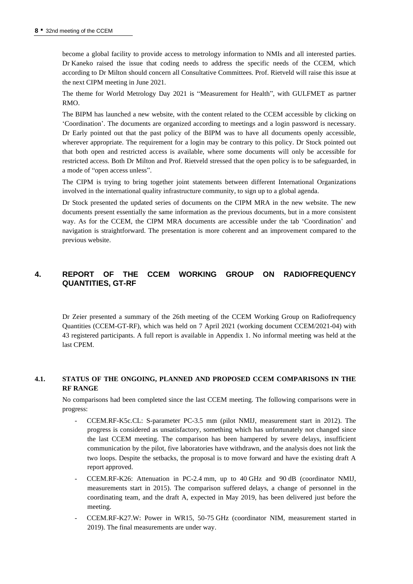become a global facility to provide access to metrology information to NMIs and all interested parties. Dr Kaneko raised the issue that coding needs to address the specific needs of the CCEM, which according to Dr Milton should concern all Consultative Committees. Prof. Rietveld will raise this issue at the next CIPM meeting in June 2021.

The theme for World Metrology Day 2021 is "Measurement for Health", with GULFMET as partner RMO.

The BIPM has launched a new website, with the content related to the CCEM accessible by clicking on 'Coordination'. The documents are organized according to meetings and a login password is necessary. Dr Early pointed out that the past policy of the BIPM was to have all documents openly accessible, wherever appropriate. The requirement for a login may be contrary to this policy. Dr Stock pointed out that both open and restricted access is available, where some documents will only be accessible for restricted access. Both Dr Milton and Prof. Rietveld stressed that the open policy is to be safeguarded, in a mode of "open access unless".

The CIPM is trying to bring together joint statements between different International Organizations involved in the international quality infrastructure community, to sign up to a global agenda.

Dr Stock presented the updated series of documents on the CIPM MRA in the new website. The new documents present essentially the same information as the previous documents, but in a more consistent way. As for the CCEM, the CIPM MRA documents are accessible under the tab 'Coordination' and navigation is straightforward. The presentation is more coherent and an improvement compared to the previous website.

# **4. REPORT OF THE CCEM WORKING GROUP ON RADIOFREQUENCY QUANTITIES, GT-RF**

Dr Zeier presented a summary of the 26th meeting of the CCEM Working Group on Radiofrequency Quantities (CCEM-GT-RF), which was held on 7 April 2021 (working document CCEM/2021-04) with 43 registered participants. A full report is available in Appendix 1. No informal meeting was held at the last CPEM.

# **4.1. STATUS OF THE ONGOING, PLANNED AND PROPOSED CCEM COMPARISONS IN THE RF RANGE**

No comparisons had been completed since the last CCEM meeting. The following comparisons were in progress:

- CCEM.RF-K5c.CL: S-parameter PC-3.5 mm (pilot NMIJ, measurement start in 2012). The progress is considered as unsatisfactory, something which has unfortunately not changed since the last CCEM meeting. The comparison has been hampered by severe delays, insufficient communication by the pilot, five laboratories have withdrawn, and the analysis does not link the two loops. Despite the setbacks, the proposal is to move forward and have the existing draft A report approved.
- CCEM.RF-K26: Attenuation in PC-2.4 mm, up to 40 GHz and 90 dB (coordinator NMIJ, measurements start in 2015). The comparison suffered delays, a change of personnel in the coordinating team, and the draft A, expected in May 2019, has been delivered just before the meeting.
- CCEM.RF-K27.W: Power in WR15, 50-75 GHz (coordinator NIM, measurement started in 2019). The final measurements are under way.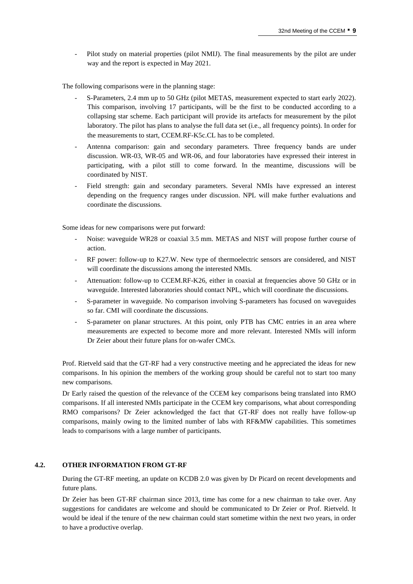Pilot study on material properties (pilot NMIJ). The final measurements by the pilot are under way and the report is expected in May 2021.

The following comparisons were in the planning stage:

- S-Parameters, 2.4 mm up to 50 GHz (pilot METAS, measurement expected to start early 2022). This comparison, involving 17 participants, will be the first to be conducted according to a collapsing star scheme. Each participant will provide its artefacts for measurement by the pilot laboratory. The pilot has plans to analyse the full data set (i.e., all frequency points). In order for the measurements to start, CCEM.RF-K5c.CL has to be completed.
- Antenna comparison: gain and secondary parameters. Three frequency bands are under discussion. WR-03, WR-05 and WR-06, and four laboratories have expressed their interest in participating, with a pilot still to come forward. In the meantime, discussions will be coordinated by NIST.
- Field strength: gain and secondary parameters. Several NMIs have expressed an interest depending on the frequency ranges under discussion. NPL will make further evaluations and coordinate the discussions.

Some ideas for new comparisons were put forward:

- Noise: waveguide WR28 or coaxial 3.5 mm. METAS and NIST will propose further course of action.
- RF power: follow-up to K27.W. New type of thermoelectric sensors are considered, and NIST will coordinate the discussions among the interested NMIs.
- Attenuation: follow-up to CCEM.RF-K26, either in coaxial at frequencies above 50 GHz or in waveguide. Interested laboratories should contact NPL, which will coordinate the discussions.
- S-parameter in waveguide. No comparison involving S-parameters has focused on waveguides so far. CMI will coordinate the discussions.
- S-parameter on planar structures. At this point, only PTB has CMC entries in an area where measurements are expected to become more and more relevant. Interested NMIs will inform Dr Zeier about their future plans for on-wafer CMCs.

Prof. Rietveld said that the GT-RF had a very constructive meeting and he appreciated the ideas for new comparisons. In his opinion the members of the working group should be careful not to start too many new comparisons.

Dr Early raised the question of the relevance of the CCEM key comparisons being translated into RMO comparisons. If all interested NMIs participate in the CCEM key comparisons, what about corresponding RMO comparisons? Dr Zeier acknowledged the fact that GT-RF does not really have follow-up comparisons, mainly owing to the limited number of labs with RF&MW capabilities. This sometimes leads to comparisons with a large number of participants.

# **4.2. OTHER INFORMATION FROM GT-RF**

During the GT-RF meeting, an update on KCDB 2.0 was given by Dr Picard on recent developments and future plans.

Dr Zeier has been GT-RF chairman since 2013, time has come for a new chairman to take over. Any suggestions for candidates are welcome and should be communicated to Dr Zeier or Prof. Rietveld. It would be ideal if the tenure of the new chairman could start sometime within the next two years, in order to have a productive overlap.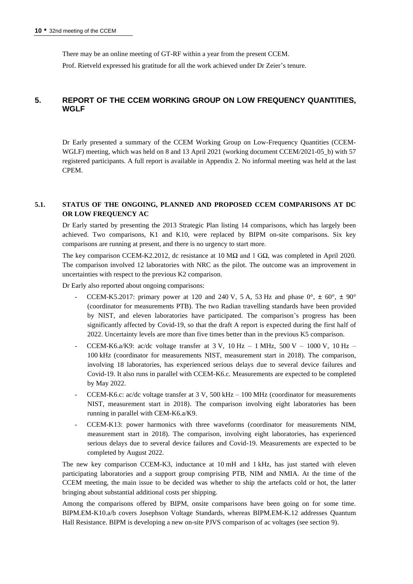There may be an online meeting of GT-RF within a year from the present CCEM. Prof. Rietveld expressed his gratitude for all the work achieved under Dr Zeier's tenure.

# **5. REPORT OF THE CCEM WORKING GROUP ON LOW FREQUENCY QUANTITIES, WGLF**

Dr Early presented a summary of the CCEM Working Group on Low-Frequency Quantities (CCEM-WGLF) meeting, which was held on 8 and 13 April 2021 (working document CCEM/2021-05 b) with 57 registered participants. A full report is available in Appendix 2. No informal meeting was held at the last CPEM.

# **5.1. STATUS OF THE ONGOING, PLANNED AND PROPOSED CCEM COMPARISONS AT DC OR LOW FREQUENCY AC**

Dr Early started by presenting the 2013 Strategic Plan listing 14 comparisons, which has largely been achieved. Two comparisons, K1 and K10, were replaced by BIPM on-site comparisons. Six key comparisons are running at present, and there is no urgency to start more.

The key comparison CCEM-K2.2012, dc resistance at 10 M $\Omega$  and 1 G $\Omega$ , was completed in April 2020. The comparison involved 12 laboratories with NRC as the pilot. The outcome was an improvement in uncertainties with respect to the previous K2 comparison.

Dr Early also reported about ongoing comparisons:

- CCEM-K5.2017: primary power at 120 and 240 V, 5 A, 53 Hz and phase  $0^\circ$ ,  $\pm 60^\circ$ ,  $\pm 90^\circ$ (coordinator for measurements PTB). The two Radian travelling standards have been provided by NIST, and eleven laboratories have participated. The comparison's progress has been significantly affected by Covid-19, so that the draft A report is expected during the first half of 2022. Uncertainty levels are more than five times better than in the previous K5 comparison.
- CCEM-K6.a/K9: ac/dc voltage transfer at  $3 \text{ V}$ ,  $10 \text{ Hz} 1 \text{ MHz}$ ,  $500 \text{ V} 1000 \text{ V}$ ,  $10 \text{ Hz} 1 \text{ MHz}$ 100 kHz (coordinator for measurements NIST, measurement start in 2018). The comparison, involving 18 laboratories, has experienced serious delays due to several device failures and Covid-19. It also runs in parallel with CCEM-K6.c. Measurements are expected to be completed by May 2022.
- CCEM-K6.c: ac/dc voltage transfer at  $3 \text{ V}$ ,  $500 \text{ kHz} 100 \text{ MHz}$  (coordinator for measurements NIST, measurement start in 2018). The comparison involving eight laboratories has been running in parallel with CEM-K6.a/K9.
- CCEM-K13: power harmonics with three waveforms (coordinator for measurements NIM, measurement start in 2018). The comparison, involving eight laboratories, has experienced serious delays due to several device failures and Covid-19. Measurements are expected to be completed by August 2022.

The new key comparison CCEM-K3, inductance at 10 mH and 1 kHz, has just started with eleven participating laboratories and a support group comprising PTB, NIM and NMIA. At the time of the CCEM meeting, the main issue to be decided was whether to ship the artefacts cold or hot, the latter bringing about substantial additional costs per shipping.

Among the comparisons offered by BIPM, onsite comparisons have been going on for some time. BIPM.EM-K10.a/b covers Josephson Voltage Standards, whereas BIPM.EM-K.12 addresses Quantum Hall Resistance. BIPM is developing a new on-site PJVS comparison of ac voltages (see section 9).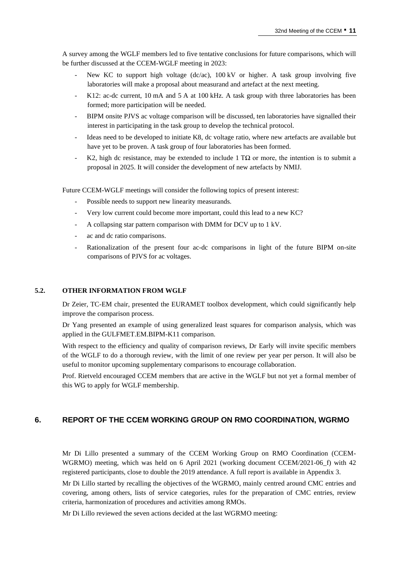A survey among the WGLF members led to five tentative conclusions for future comparisons, which will be further discussed at the CCEM-WGLF meeting in 2023:

- New KC to support high voltage (dc/ac),  $100 \text{ kV}$  or higher. A task group involving five laboratories will make a proposal about measurand and artefact at the next meeting.
- K12: ac-dc current, 10 mA and 5 A at 100 kHz. A task group with three laboratories has been formed; more participation will be needed.
- BIPM onsite PJVS ac voltage comparison will be discussed, ten laboratories have signalled their interest in participating in the task group to develop the technical protocol.
- Ideas need to be developed to initiate K8, dc voltage ratio, where new artefacts are available but have yet to be proven. A task group of four laboratories has been formed.
- K2, high dc resistance, may be extended to include 1 T $\Omega$  or more, the intention is to submit a proposal in 2025. It will consider the development of new artefacts by NMIJ.

Future CCEM-WGLF meetings will consider the following topics of present interest:

- Possible needs to support new linearity measurands.
- Very low current could become more important, could this lead to a new KC?
- A collapsing star pattern comparison with DMM for DCV up to 1 kV.
- ac and dc ratio comparisons.
- Rationalization of the present four ac-dc comparisons in light of the future BIPM on-site comparisons of PJVS for ac voltages.

#### **5.2. OTHER INFORMATION FROM WGLF**

Dr Zeier, TC-EM chair, presented the EURAMET toolbox development, which could significantly help improve the comparison process.

Dr Yang presented an example of using generalized least squares for comparison analysis, which was applied in the GULFMET.EM.BIPM-K11 comparison.

With respect to the efficiency and quality of comparison reviews, Dr Early will invite specific members of the WGLF to do a thorough review, with the limit of one review per year per person. It will also be useful to monitor upcoming supplementary comparisons to encourage collaboration.

Prof. Rietveld encouraged CCEM members that are active in the WGLF but not yet a formal member of this WG to apply for WGLF membership.

# **6. REPORT OF THE CCEM WORKING GROUP ON RMO COORDINATION, WGRMO**

Mr Di Lillo presented a summary of the CCEM Working Group on RMO Coordination (CCEM-WGRMO) meeting, which was held on 6 April 2021 (working document CCEM/2021-06\_f) with 42 registered participants, close to double the 2019 attendance. A full report is available in Appendix 3.

Mr Di Lillo started by recalling the objectives of the WGRMO, mainly centred around CMC entries and covering, among others, lists of service categories, rules for the preparation of CMC entries, review criteria, harmonization of procedures and activities among RMOs.

Mr Di Lillo reviewed the seven actions decided at the last WGRMO meeting: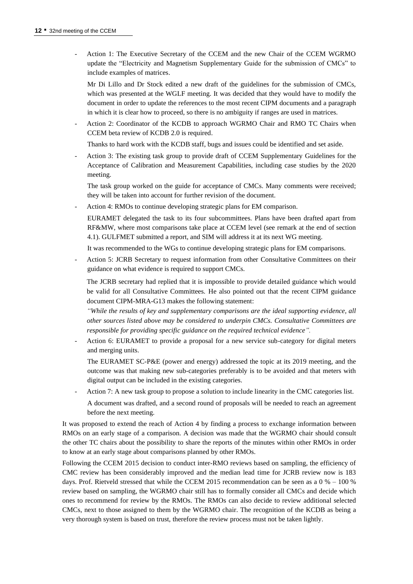- Action 1: The Executive Secretary of the CCEM and the new Chair of the CCEM WGRMO update the "Electricity and Magnetism Supplementary Guide for the submission of CMCs" to include examples of matrices.

Mr Di Lillo and Dr Stock edited a new draft of the guidelines for the submission of CMCs, which was presented at the WGLF meeting. It was decided that they would have to modify the document in order to update the references to the most recent CIPM documents and a paragraph in which it is clear how to proceed, so there is no ambiguity if ranges are used in matrices.

Action 2: Coordinator of the KCDB to approach WGRMO Chair and RMO TC Chairs when CCEM beta review of KCDB 2.0 is required.

Thanks to hard work with the KCDB staff, bugs and issues could be identified and set aside.

Action 3: The existing task group to provide draft of CCEM Supplementary Guidelines for the Acceptance of Calibration and Measurement Capabilities, including case studies by the 2020 meeting.

The task group worked on the guide for acceptance of CMCs. Many comments were received; they will be taken into account for further revision of the document.

Action 4: RMOs to continue developing strategic plans for EM comparison.

EURAMET delegated the task to its four subcommittees. Plans have been drafted apart from RF&MW, where most comparisons take place at CCEM level (see remark at the end of section 4.1). GULFMET submitted a report, and SIM will address it at its next WG meeting.

It was recommended to the WGs to continue developing strategic plans for EM comparisons.

Action 5: JCRB Secretary to request information from other Consultative Committees on their guidance on what evidence is required to support CMCs.

The JCRB secretary had replied that it is impossible to provide detailed guidance which would be valid for all Consultative Committees. He also pointed out that the recent CIPM guidance document CIPM-MRA-G13 makes the following statement:

*"While the results of key and supplementary comparisons are the ideal supporting evidence, all other sources listed above may be considered to underpin CMCs. Consultative Committees are responsible for providing specific guidance on the required technical evidence".*

- Action 6: EURAMET to provide a proposal for a new service sub-category for digital meters and merging units.

The EURAMET SC-P&E (power and energy) addressed the topic at its 2019 meeting, and the outcome was that making new sub-categories preferably is to be avoided and that meters with digital output can be included in the existing categories.

- Action 7: A new task group to propose a solution to include linearity in the CMC categories list. A document was drafted, and a second round of proposals will be needed to reach an agreement before the next meeting.

It was proposed to extend the reach of Action 4 by finding a process to exchange information between RMOs on an early stage of a comparison. A decision was made that the WGRMO chair should consult the other TC chairs about the possibility to share the reports of the minutes within other RMOs in order to know at an early stage about comparisons planned by other RMOs.

Following the CCEM 2015 decision to conduct inter-RMO reviews based on sampling, the efficiency of CMC review has been considerably improved and the median lead time for JCRB review now is 183 days. Prof. Rietveld stressed that while the CCEM 2015 recommendation can be seen as a 0 % – 100 % review based on sampling, the WGRMO chair still has to formally consider all CMCs and decide which ones to recommend for review by the RMOs. The RMOs can also decide to review additional selected CMCs, next to those assigned to them by the WGRMO chair. The recognition of the KCDB as being a very thorough system is based on trust, therefore the review process must not be taken lightly.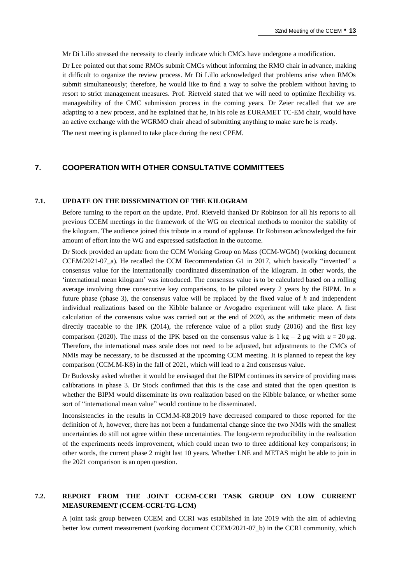Mr Di Lillo stressed the necessity to clearly indicate which CMCs have undergone a modification.

Dr Lee pointed out that some RMOs submit CMCs without informing the RMO chair in advance, making it difficult to organize the review process. Mr Di Lillo acknowledged that problems arise when RMOs submit simultaneously; therefore, he would like to find a way to solve the problem without having to resort to strict management measures. Prof. Rietveld stated that we will need to optimize flexibility vs. manageability of the CMC submission process in the coming years. Dr Zeier recalled that we are adapting to a new process, and he explained that he, in his role as EURAMET TC-EM chair, would have an active exchange with the WGRMO chair ahead of submitting anything to make sure he is ready.

The next meeting is planned to take place during the next CPEM.

# **7. COOPERATION WITH OTHER CONSULTATIVE COMMITTEES**

# **7.1. UPDATE ON THE DISSEMINATION OF THE KILOGRAM**

Before turning to the report on the update, Prof. Rietveld thanked Dr Robinson for all his reports to all previous CCEM meetings in the framework of the WG on electrical methods to monitor the stability of the kilogram. The audience joined this tribute in a round of applause. Dr Robinson acknowledged the fair amount of effort into the WG and expressed satisfaction in the outcome.

Dr Stock provided an update from the CCM Working Group on Mass (CCM-WGM) (working document CCEM/2021-07\_a). He recalled the CCM Recommendation G1 in 2017, which basically "invented" a consensus value for the internationally coordinated dissemination of the kilogram. In other words, the 'international mean kilogram' was introduced. The consensus value is to be calculated based on a rolling average involving three consecutive key comparisons, to be piloted every 2 years by the BIPM. In a future phase (phase 3), the consensus value will be replaced by the fixed value of *h* and independent individual realizations based on the Kibble balance or Avogadro experiment will take place. A first calculation of the consensus value was carried out at the end of 2020, as the arithmetic mean of data directly traceable to the IPK (2014), the reference value of a pilot study (2016) and the first key comparison (2020). The mass of the IPK based on the consensus value is  $1 \text{ kg} - 2 \text{ µg with } u = 20 \text{ µg}.$ Therefore, the international mass scale does not need to be adjusted, but adjustments to the CMCs of NMIs may be necessary, to be discussed at the upcoming CCM meeting. It is planned to repeat the key comparison (CCM.M-K8) in the fall of 2021, which will lead to a 2nd consensus value.

Dr Budovsky asked whether it would be envisaged that the BIPM continues its service of providing mass calibrations in phase 3. Dr Stock confirmed that this is the case and stated that the open question is whether the BIPM would disseminate its own realization based on the Kibble balance, or whether some sort of "international mean value" would continue to be disseminated.

Inconsistencies in the results in CCM.M-K8.2019 have decreased compared to those reported for the definition of *h*, however, there has not been a fundamental change since the two NMIs with the smallest uncertainties do still not agree within these uncertainties. The long-term reproducibility in the realization of the experiments needs improvement, which could mean two to three additional key comparisons; in other words, the current phase 2 might last 10 years. Whether LNE and METAS might be able to join in the 2021 comparison is an open question.

# **7.2. REPORT FROM THE JOINT CCEM-CCRI TASK GROUP ON LOW CURRENT MEASUREMENT (CCEM-CCRI-TG-LCM)**

A joint task group between CCEM and CCRI was established in late 2019 with the aim of achieving better low current measurement (working document CCEM/2021-07 b) in the CCRI community, which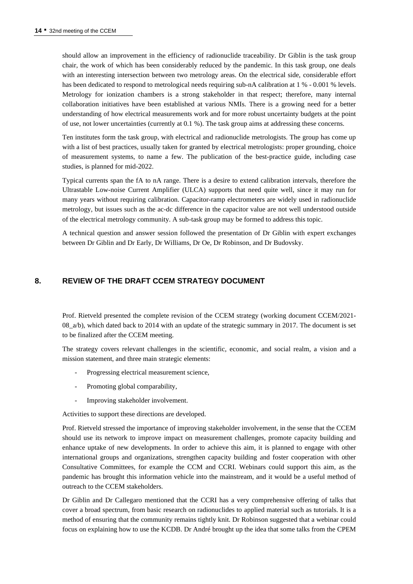should allow an improvement in the efficiency of radionuclide traceability. Dr Giblin is the task group chair, the work of which has been considerably reduced by the pandemic. In this task group, one deals with an interesting intersection between two metrology areas. On the electrical side, considerable effort has been dedicated to respond to metrological needs requiring sub-nA calibration at 1 % - 0.001 % levels. Metrology for ionization chambers is a strong stakeholder in that respect; therefore, many internal collaboration initiatives have been established at various NMIs. There is a growing need for a better understanding of how electrical measurements work and for more robust uncertainty budgets at the point of use, not lower uncertainties (currently at 0.1 %). The task group aims at addressing these concerns.

Ten institutes form the task group, with electrical and radionuclide metrologists. The group has come up with a list of best practices, usually taken for granted by electrical metrologists: proper grounding, choice of measurement systems, to name a few. The publication of the best-practice guide, including case studies, is planned for mid-2022.

Typical currents span the fA to nA range. There is a desire to extend calibration intervals, therefore the Ultrastable Low-noise Current Amplifier (ULCA) supports that need quite well, since it may run for many years without requiring calibration. Capacitor-ramp electrometers are widely used in radionuclide metrology, but issues such as the ac-dc difference in the capacitor value are not well understood outside of the electrical metrology community. A sub-task group may be formed to address this topic.

A technical question and answer session followed the presentation of Dr Giblin with expert exchanges between Dr Giblin and Dr Early, Dr Williams, Dr Oe, Dr Robinson, and Dr Budovsky.

# **8. REVIEW OF THE DRAFT CCEM STRATEGY DOCUMENT**

Prof. Rietveld presented the complete revision of the CCEM strategy (working document CCEM/2021- 08\_a/b), which dated back to 2014 with an update of the strategic summary in 2017. The document is set to be finalized after the CCEM meeting.

The strategy covers relevant challenges in the scientific, economic, and social realm, a vision and a mission statement, and three main strategic elements:

- Progressing electrical measurement science,
- Promoting global comparability,
- Improving stakeholder involvement.

Activities to support these directions are developed.

Prof. Rietveld stressed the importance of improving stakeholder involvement, in the sense that the CCEM should use its network to improve impact on measurement challenges, promote capacity building and enhance uptake of new developments. In order to achieve this aim, it is planned to engage with other international groups and organizations, strengthen capacity building and foster cooperation with other Consultative Committees, for example the CCM and CCRI. Webinars could support this aim, as the pandemic has brought this information vehicle into the mainstream, and it would be a useful method of outreach to the CCEM stakeholders.

Dr Giblin and Dr Callegaro mentioned that the CCRI has a very comprehensive offering of talks that cover a broad spectrum, from basic research on radionuclides to applied material such as tutorials. It is a method of ensuring that the community remains tightly knit. Dr Robinson suggested that a webinar could focus on explaining how to use the KCDB. Dr André brought up the idea that some talks from the CPEM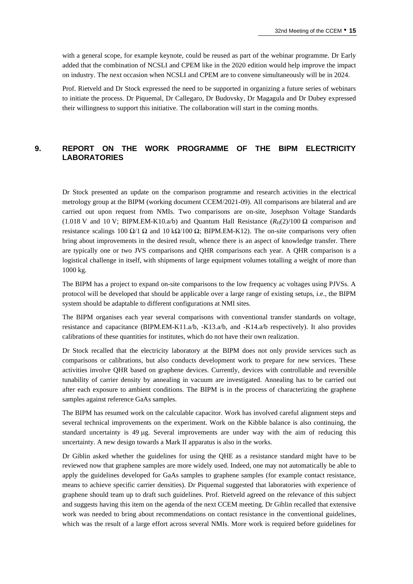with a general scope, for example keynote, could be reused as part of the webinar programme. Dr Early added that the combination of NCSLI and CPEM like in the 2020 edition would help improve the impact on industry. The next occasion when NCSLI and CPEM are to convene simultaneously will be in 2024.

Prof. Rietveld and Dr Stock expressed the need to be supported in organizing a future series of webinars to initiate the process. Dr Piquemal, Dr Callegaro, Dr Budovsky, Dr Magagula and Dr Dubey expressed their willingness to support this initiative. The collaboration will start in the coming months.

# **9. REPORT ON THE WORK PROGRAMME OF THE BIPM ELECTRICITY LABORATORIES**

Dr Stock presented an update on the comparison programme and research activities in the electrical metrology group at the BIPM (working document CCEM/2021-09). All comparisons are bilateral and are carried out upon request from NMIs. Two comparisons are on-site, Josephson Voltage Standards (1.018 V and 10 V; BIPM.EM-K10.a/b) and Quantum Hall Resistance  $(R_H(2)/100 \Omega$  comparison and resistance scalings 100 Ω/1 Ω and 10 kΩ/100 Ω; BIPM.EM-K12). The on-site comparisons very often bring about improvements in the desired result, whence there is an aspect of knowledge transfer. There are typically one or two JVS comparisons and QHR comparisons each year. A QHR comparison is a logistical challenge in itself, with shipments of large equipment volumes totalling a weight of more than 1000 kg.

The BIPM has a project to expand on-site comparisons to the low frequency ac voltages using PJVSs. A protocol will be developed that should be applicable over a large range of existing setups, i.e., the BIPM system should be adaptable to different configurations at NMI sites.

The BIPM organises each year several comparisons with conventional transfer standards on voltage, resistance and capacitance (BIPM.EM-K11.a/b, -K13.a/b, and -K14.a/b respectively). It also provides calibrations of these quantities for institutes, which do not have their own realization.

Dr Stock recalled that the electricity laboratory at the BIPM does not only provide services such as comparisons or calibrations, but also conducts development work to prepare for new services. These activities involve QHR based on graphene devices. Currently, devices with controllable and reversible tunability of carrier density by annealing in vacuum are investigated. Annealing has to be carried out after each exposure to ambient conditions. The BIPM is in the process of characterizing the graphene samples against reference GaAs samples.

The BIPM has resumed work on the calculable capacitor. Work has involved careful alignment steps and several technical improvements on the experiment. Work on the Kibble balance is also continuing, the standard uncertainty is 49 µg. Several improvements are under way with the aim of reducing this uncertainty. A new design towards a Mark II apparatus is also in the works.

Dr Giblin asked whether the guidelines for using the QHE as a resistance standard might have to be reviewed now that graphene samples are more widely used. Indeed, one may not automatically be able to apply the guidelines developed for GaAs samples to graphene samples (for example contact resistance, means to achieve specific carrier densities). Dr Piquemal suggested that laboratories with experience of graphene should team up to draft such guidelines. Prof. Rietveld agreed on the relevance of this subject and suggests having this item on the agenda of the next CCEM meeting. Dr Giblin recalled that extensive work was needed to bring about recommendations on contact resistance in the conventional guidelines, which was the result of a large effort across several NMIs. More work is required before guidelines for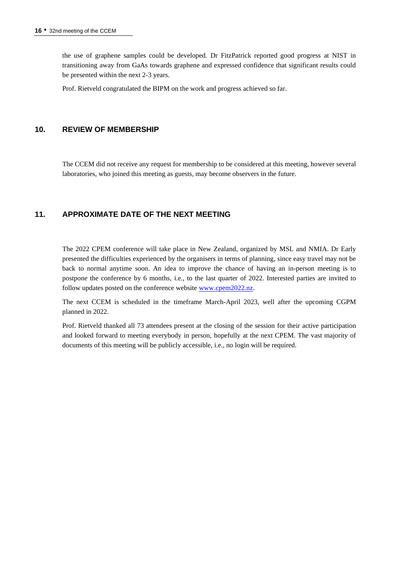the use of graphene samples could be developed. Dr FitzPatrick reported good progress at NIST in transitioning away from GaAs towards graphene and expressed confidence that significant results could be presented within the next 2-3 years.

Prof. Rietveld congratulated the BIPM on the work and progress achieved so far.

# **10. REVIEW OF MEMBERSHIP**

The CCEM did not receive any request for membership to be considered at this meeting, however several laboratories, who joined this meeting as guests, may become observers in the future.

# **11. APPROXIMATE DATE OF THE NEXT MEETING**

The 2022 CPEM conference will take place in New Zealand, organized by MSL and NMIA. Dr Early presented the difficulties experienced by the organisers in terms of planning, since easy travel may not be back to normal anytime soon. An idea to improve the chance of having an in-person meeting is to postpone the conference by 6 months, i.e., to the last quarter of 2022. Interested parties are invited to follow updates posted on the conference websit[e www.cpem2022.nz.](http://www.cpem2022.nz/)

The next CCEM is scheduled in the timeframe March-April 2023, well after the upcoming CGPM planned in 2022.

Prof. Rietveld thanked all 73 attendees present at the closing of the session for their active participation and looked forward to meeting everybody in person, hopefully at the next CPEM. The vast majority of documents of this meeting will be publicly accessible, i.e., no login will be required.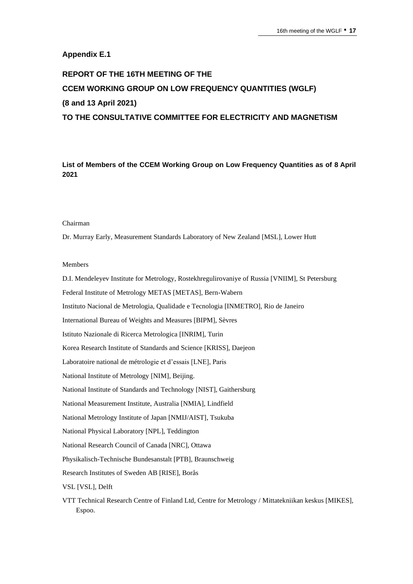# **Appendix E.1**

# **REPORT OF THE 16TH MEETING OF THE CCEM WORKING GROUP ON LOW FREQUENCY QUANTITIES (WGLF) (8 and 13 April 2021) TO THE CONSULTATIVE COMMITTEE FOR ELECTRICITY AND MAGNETISM**

**List of Members of the CCEM Working Group on Low Frequency Quantities as of 8 April 2021**

#### Chairman

Dr. Murray Early, Measurement Standards Laboratory of New Zealand [MSL], Lower Hutt

#### Members

Espoo.

D.I. Mendeleyev Institute for Metrology, Rostekhregulirovaniye of Russia [VNIIM], St Petersburg Federal Institute of Metrology METAS [METAS], Bern-Wabern Instituto Nacional de Metrologia, Qualidade e Tecnologia [INMETRO], Rio de Janeiro International Bureau of Weights and Measures [BIPM], Sèvres Istituto Nazionale di Ricerca Metrologica [INRIM], Turin Korea Research Institute of Standards and Science [KRISS], Daejeon Laboratoire national de métrologie et d'essais [LNE], Paris National Institute of Metrology [NIM], Beijing. National Institute of Standards and Technology [NIST], Gaithersburg National Measurement Institute, Australia [NMIA], Lindfield National Metrology Institute of Japan [NMIJ/AIST], Tsukuba National Physical Laboratory [NPL], Teddington National Research Council of Canada [NRC], Ottawa Physikalisch-Technische Bundesanstalt [PTB], Braunschweig Research Institutes of Sweden AB [RISE], Borås VSL [VSL], Delft VTT Technical Research Centre of Finland Ltd, Centre for Metrology / Mittatekniikan keskus [MIKES],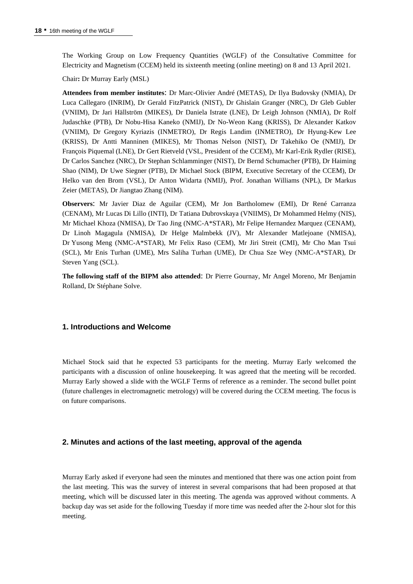The Working Group on Low Frequency Quantities (WGLF) of the Consultative Committee for Electricity and Magnetism (CCEM) held its sixteenth meeting (online meeting) on 8 and 13 April 2021.

Chair**:** Dr Murray Early (MSL)

**Attendees from member institutes**: Dr Marc-Olivier André (METAS), Dr Ilya Budovsky (NMIA), Dr Luca Callegaro (INRIM), Dr Gerald FitzPatrick (NIST), Dr Ghislain Granger (NRC), Dr Gleb Gubler (VNIIM), Dr Jari Hällström (MIKES), Dr Daniela Istrate (LNE), Dr Leigh Johnson (NMIA), Dr Rolf Judaschke (PTB), Dr Nobu-Hisa Kaneko (NMIJ), Dr No-Weon Kang (KRISS), Dr Alexander Katkov (VNIIM), Dr Gregory Kyriazis (INMETRO), Dr Regis Landim (INMETRO), Dr Hyung-Kew Lee (KRISS), Dr Antti Manninen (MIKES), Mr Thomas Nelson (NIST), Dr Takehiko Oe (NMIJ), Dr François Piquemal (LNE), Dr Gert Rietveld (VSL, President of the CCEM), Mr Karl-Erik Rydler (RISE), Dr Carlos Sanchez (NRC), Dr Stephan Schlamminger (NIST), Dr Bernd Schumacher (PTB), Dr Haiming Shao (NIM), Dr Uwe Siegner (PTB), Dr Michael Stock (BIPM, Executive Secretary of the CCEM), Dr Helko van den Brom (VSL), Dr Anton Widarta (NMIJ), Prof. Jonathan Williams (NPL), Dr Markus Zeier (METAS), Dr Jiangtao Zhang (NIM).

**Observers**: Mr Javier Diaz de Aguilar (CEM), Mr Jon Bartholomew (EMI), Dr René Carranza (CENAM), Mr Lucas Di Lillo (INTI), Dr Tatiana Dubrovskaya (VNIIMS), Dr Mohammed Helmy (NIS), Mr Michael Khoza (NMISA), Dr Tao Jing (NMC-A\*STAR), Mr Felipe Hernandez Marquez (CENAM), Dr Linoh Magagula (NMISA), Dr Helge Malmbekk (JV), Mr Alexander Matlejoane (NMISA), Dr Yusong Meng (NMC-A\*STAR), Mr Felix Raso (CEM), Mr Jiri Streit (CMI), Mr Cho Man Tsui (SCL), Mr Enis Turhan (UME), Mrs Saliha Turhan (UME), Dr Chua Sze Wey (NMC-A\*STAR), Dr Steven Yang (SCL).

**The following staff of the BIPM also attended**: Dr Pierre Gournay, Mr Angel Moreno, Mr Benjamin Rolland, Dr Stéphane Solve.

# **1. Introductions and Welcome**

Michael Stock said that he expected 53 participants for the meeting. Murray Early welcomed the participants with a discussion of online housekeeping. It was agreed that the meeting will be recorded. Murray Early showed a slide with the WGLF Terms of reference as a reminder. The second bullet point (future challenges in electromagnetic metrology) will be covered during the CCEM meeting. The focus is on future comparisons.

# **2. Minutes and actions of the last meeting, approval of the agenda**

Murray Early asked if everyone had seen the minutes and mentioned that there was one action point from the last meeting. This was the survey of interest in several comparisons that had been proposed at that meeting, which will be discussed later in this meeting. The agenda was approved without comments. A backup day was set aside for the following Tuesday if more time was needed after the 2-hour slot for this meeting.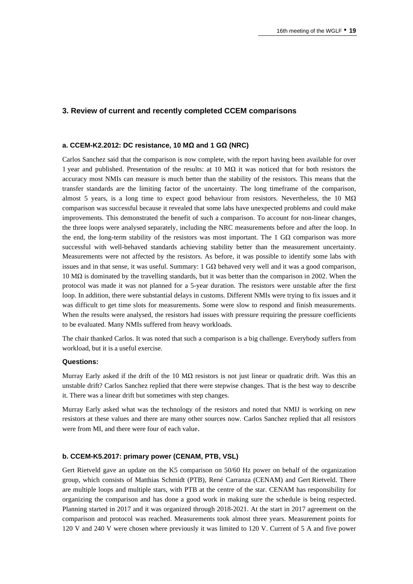# **3. Review of current and recently completed CCEM comparisons**

#### **a. CCEM-K2.2012: DC resistance, 10 MΩ and 1 GΩ (NRC)**

Carlos Sanchez said that the comparison is now complete, with the report having been available for over 1 year and published. Presentation of the results: at 10 MΩ it was noticed that for both resistors the accuracy most NMIs can measure is much better than the stability of the resistors. This means that the transfer standards are the limiting factor of the uncertainty. The long timeframe of the comparison, almost 5 years, is a long time to expect good behaviour from resistors. Nevertheless, the 10 M $\Omega$ comparison was successful because it revealed that some labs have unexpected problems and could make improvements. This demonstrated the benefit of such a comparison. To account for non-linear changes, the three loops were analysed separately, including the NRC measurements before and after the loop. In the end, the long-term stability of the resistors was most important. The 1  $G\Omega$  comparison was more successful with well-behaved standards achieving stability better than the measurement uncertainty. Measurements were not affected by the resistors. As before, it was possible to identify some labs with issues and in that sense, it was useful. Summary: 1 GΩ behaved very well and it was a good comparison,  $10 \text{ MΩ}$  is dominated by the travelling standards, but it was better than the comparison in 2002. When the protocol was made it was not planned for a 5-year duration. The resistors were unstable after the first loop. In addition, there were substantial delays in customs. Different NMIs were trying to fix issues and it was difficult to get time slots for measurements. Some were slow to respond and finish measurements. When the results were analysed, the resistors had issues with pressure requiring the pressure coefficients to be evaluated. Many NMIs suffered from heavy workloads.

The chair thanked Carlos. It was noted that such a comparison is a big challenge. Everybody suffers from workload, but it is a useful exercise.

#### **Questions:**

Murray Early asked if the drift of the 10 M $\Omega$  resistors is not just linear or quadratic drift. Was this an unstable drift? Carlos Sanchez replied that there were stepwise changes. That is the best way to describe it. There was a linear drift but sometimes with step changes.

Murray Early asked what was the technology of the resistors and noted that NMIJ is working on new resistors at these values and there are many other sources now. Carlos Sanchez replied that all resistors were from MI, and there were four of each value.

#### **b. CCEM-K5.2017: primary power (CENAM, PTB, VSL)**

Gert Rietveld gave an update on the K5 comparison on 50/60 Hz power on behalf of the organization group, which consists of Matthias Schmidt (PTB), René Carranza (CENAM) and Gert Rietveld. There are multiple loops and multiple stars, with PTB at the centre of the star. CENAM has responsibility for organizing the comparison and has done a good work in making sure the schedule is being respected. Planning started in 2017 and it was organized through 2018-2021. At the start in 2017 agreement on the comparison and protocol was reached. Measurements took almost three years. Measurement points for 120 V and 240 V were chosen where previously it was limited to 120 V. Current of 5 A and five power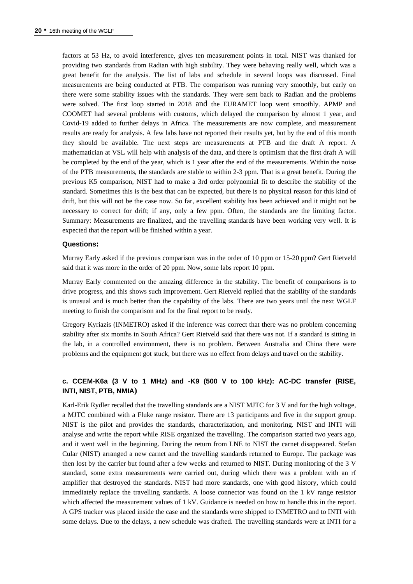factors at 53 Hz, to avoid interference, gives ten measurement points in total. NIST was thanked for providing two standards from Radian with high stability. They were behaving really well, which was a great benefit for the analysis. The list of labs and schedule in several loops was discussed. Final measurements are being conducted at PTB. The comparison was running very smoothly, but early on there were some stability issues with the standards. They were sent back to Radian and the problems were solved. The first loop started in 2018 and the EURAMET loop went smoothly. APMP and COOMET had several problems with customs, which delayed the comparison by almost 1 year, and Covid-19 added to further delays in Africa. The measurements are now complete, and measurement results are ready for analysis. A few labs have not reported their results yet, but by the end of this month they should be available. The next steps are measurements at PTB and the draft A report. A mathematician at VSL will help with analysis of the data, and there is optimism that the first draft A will be completed by the end of the year, which is 1 year after the end of the measurements. Within the noise of the PTB measurements, the standards are stable to within 2-3 ppm. That is a great benefit. During the previous K5 comparison, NIST had to make a 3rd order polynomial fit to describe the stability of the standard. Sometimes this is the best that can be expected, but there is no physical reason for this kind of drift, but this will not be the case now. So far, excellent stability has been achieved and it might not be necessary to correct for drift; if any, only a few ppm. Often, the standards are the limiting factor. Summary: Measurements are finalized, and the travelling standards have been working very well. It is expected that the report will be finished within a year.

#### **Questions:**

Murray Early asked if the previous comparison was in the order of 10 ppm or 15-20 ppm? Gert Rietveld said that it was more in the order of 20 ppm. Now, some labs report 10 ppm.

Murray Early commented on the amazing difference in the stability. The benefit of comparisons is to drive progress, and this shows such improvement. Gert Rietveld replied that the stability of the standards is unusual and is much better than the capability of the labs. There are two years until the next WGLF meeting to finish the comparison and for the final report to be ready.

Gregory Kyriazis (INMETRO) asked if the inference was correct that there was no problem concerning stability after six months in South Africa? Gert Rietveld said that there was not. If a standard is sitting in the lab, in a controlled environment, there is no problem. Between Australia and China there were problems and the equipment got stuck, but there was no effect from delays and travel on the stability.

# **c. CCEM-K6a (3 V to 1 MHz) and -K9 (500 V to 100 kHz): AC-DC transfer (RISE, INTI, NIST, PTB, NMIA)**

Karl-Erik Rydler recalled that the travelling standards are a NIST MJTC for 3 V and for the high voltage, a MJTC combined with a Fluke range resistor. There are 13 participants and five in the support group. NIST is the pilot and provides the standards, characterization, and monitoring. NIST and INTI will analyse and write the report while RISE organized the travelling. The comparison started two years ago, and it went well in the beginning. During the return from LNE to NIST the carnet disappeared. Stefan Cular (NIST) arranged a new carnet and the travelling standards returned to Europe. The package was then lost by the carrier but found after a few weeks and returned to NIST. During monitoring of the 3 V standard, some extra measurements were carried out, during which there was a problem with an rf amplifier that destroyed the standards. NIST had more standards, one with good history, which could immediately replace the travelling standards. A loose connector was found on the 1 kV range resistor which affected the measurement values of 1 kV. Guidance is needed on how to handle this in the report. A GPS tracker was placed inside the case and the standards were shipped to INMETRO and to INTI with some delays. Due to the delays, a new schedule was drafted. The travelling standards were at INTI for a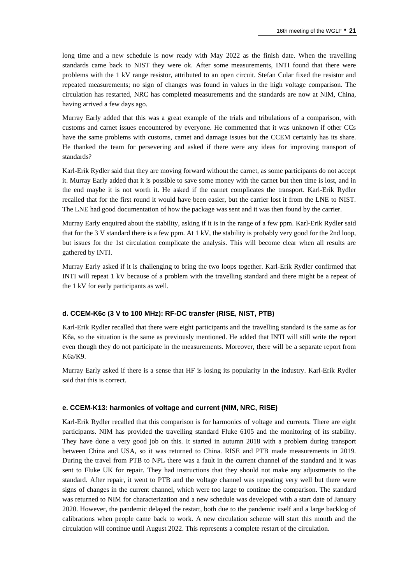long time and a new schedule is now ready with May 2022 as the finish date. When the travelling standards came back to NIST they were ok. After some measurements, INTI found that there were problems with the 1 kV range resistor, attributed to an open circuit. Stefan Cular fixed the resistor and repeated measurements; no sign of changes was found in values in the high voltage comparison. The circulation has restarted, NRC has completed measurements and the standards are now at NIM, China, having arrived a few days ago.

Murray Early added that this was a great example of the trials and tribulations of a comparison, with customs and carnet issues encountered by everyone. He commented that it was unknown if other CCs have the same problems with customs, carnet and damage issues but the CCEM certainly has its share. He thanked the team for persevering and asked if there were any ideas for improving transport of standards?

Karl-Erik Rydler said that they are moving forward without the carnet, as some participants do not accept it. Murray Early added that it is possible to save some money with the carnet but then time is lost, and in the end maybe it is not worth it. He asked if the carnet complicates the transport. Karl-Erik Rydler recalled that for the first round it would have been easier, but the carrier lost it from the LNE to NIST. The LNE had good documentation of how the package was sent and it was then found by the carrier.

Murray Early enquired about the stability, asking if it is in the range of a few ppm. Karl-Erik Rydler said that for the 3 V standard there is a few ppm. At 1 kV, the stability is probably very good for the 2nd loop, but issues for the 1st circulation complicate the analysis. This will become clear when all results are gathered by INTI.

Murray Early asked if it is challenging to bring the two loops together. Karl-Erik Rydler confirmed that INTI will repeat 1 kV because of a problem with the travelling standard and there might be a repeat of the 1 kV for early participants as well.

#### **d. CCEM-K6c (3 V to 100 MHz): RF-DC transfer (RISE, NIST, PTB)**

Karl-Erik Rydler recalled that there were eight participants and the travelling standard is the same as for K6a, so the situation is the same as previously mentioned. He added that INTI will still write the report even though they do not participate in the measurements. Moreover, there will be a separate report from K6a/K9.

Murray Early asked if there is a sense that HF is losing its popularity in the industry. Karl-Erik Rydler said that this is correct.

#### **e. CCEM-K13: harmonics of voltage and current (NIM, NRC, RISE)**

Karl-Erik Rydler recalled that this comparison is for harmonics of voltage and currents. There are eight participants. NIM has provided the travelling standard Fluke 6105 and the monitoring of its stability. They have done a very good job on this. It started in autumn 2018 with a problem during transport between China and USA, so it was returned to China. RISE and PTB made measurements in 2019. During the travel from PTB to NPL there was a fault in the current channel of the standard and it was sent to Fluke UK for repair. They had instructions that they should not make any adjustments to the standard. After repair, it went to PTB and the voltage channel was repeating very well but there were signs of changes in the current channel, which were too large to continue the comparison. The standard was returned to NIM for characterization and a new schedule was developed with a start date of January 2020. However, the pandemic delayed the restart, both due to the pandemic itself and a large backlog of calibrations when people came back to work. A new circulation scheme will start this month and the circulation will continue until August 2022. This represents a complete restart of the circulation.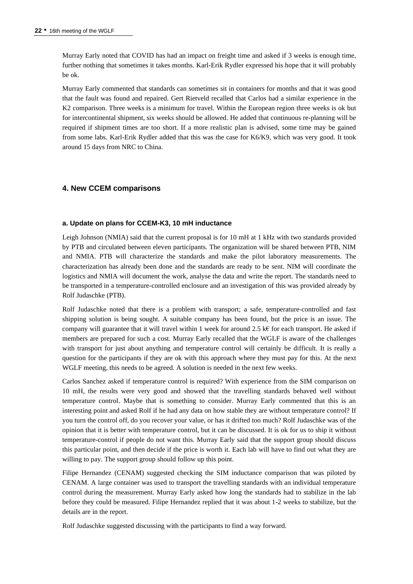Murray Early noted that COVID has had an impact on freight time and asked if 3 weeks is enough time, further nothing that sometimes it takes months. Karl-Erik Rydler expressed his hope that it will probably be ok.

Murray Early commented that standards can sometimes sit in containers for months and that it was good that the fault was found and repaired. Gert Rietveld recalled that Carlos had a similar experience in the K2 comparison. Three weeks is a minimum for travel. Within the European region three weeks is ok but for intercontinental shipment, six weeks should be allowed. He added that continuous re-planning will be required if shipment times are too short. If a more realistic plan is advised, some time may be gained from some labs. Karl-Erik Rydler added that this was the case for K6/K9, which was very good. It took around 15 days from NRC to China.

# **4. New CCEM comparisons**

# **a. Update on plans for CCEM-K3, 10 mH inductance**

Leigh Johnson (NMIA) said that the current proposal is for 10 mH at 1 kHz with two standards provided by PTB and circulated between eleven participants. The organization will be shared between PTB, NIM and NMIA. PTB will characterize the standards and make the pilot laboratory measurements. The characterization has already been done and the standards are ready to be sent. NIM will coordinate the logistics and NMIA will document the work, analyse the data and write the report. The standards need to be transported in a temperature-controlled enclosure and an investigation of this was provided already by Rolf Judaschke (PTB).

Rolf Judaschke noted that there is a problem with transport; a safe, temperature-controlled and fast shipping solution is being sought. A suitable company has been found, but the price is an issue. The company will guarantee that it will travel within 1 week for around 2.5 k€ for each transport. He asked if members are prepared for such a cost. Murray Early recalled that the WGLF is aware of the challenges with transport for just about anything and temperature control will certainly be difficult. It is really a question for the participants if they are ok with this approach where they must pay for this. At the next WGLF meeting, this needs to be agreed. A solution is needed in the next few weeks.

Carlos Sanchez asked if temperature control is required? With experience from the SIM comparison on 10 mH, the results were very good and showed that the travelling standards behaved well without temperature control. Maybe that is something to consider. Murray Early commented that this is an interesting point and asked Rolf if he had any data on how stable they are without temperature control? If you turn the control off, do you recover your value, or has it drifted too much? Rolf Judaschke was of the opinion that it is better with temperature control, but it can be discussed. It is ok for us to ship it without temperature-control if people do not want this. Murray Early said that the support group should discuss this particular point, and then decide if the price is worth it. Each lab will have to find out what they are willing to pay. The support group should follow up this point.

Filipe Hernandez (CENAM) suggested checking the SIM inductance comparison that was piloted by CENAM. A large container was used to transport the travelling standards with an individual temperature control during the measurement. Murray Early asked how long the standards had to stabilize in the lab before they could be measured. Filipe Hernandez replied that it was about 1-2 weeks to stabilize, but the details are in the report.

Rolf Judaschke suggested discussing with the participants to find a way forward.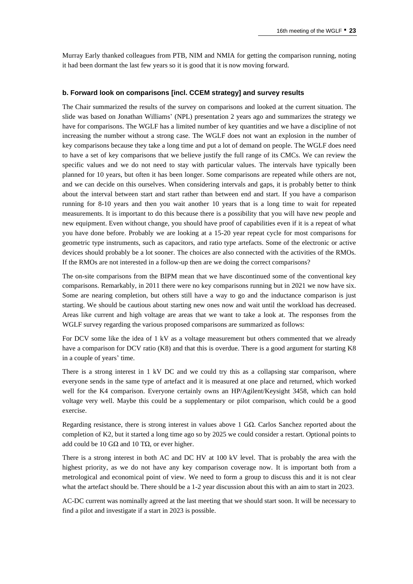Murray Early thanked colleagues from PTB, NIM and NMIA for getting the comparison running, noting it had been dormant the last few years so it is good that it is now moving forward.

#### **b. Forward look on comparisons [incl. CCEM strategy] and survey results**

The Chair summarized the results of the survey on comparisons and looked at the current situation. The slide was based on Jonathan Williams' (NPL) presentation 2 years ago and summarizes the strategy we have for comparisons. The WGLF has a limited number of key quantities and we have a discipline of not increasing the number without a strong case. The WGLF does not want an explosion in the number of key comparisons because they take a long time and put a lot of demand on people. The WGLF does need to have a set of key comparisons that we believe justify the full range of its CMCs. We can review the specific values and we do not need to stay with particular values. The intervals have typically been planned for 10 years, but often it has been longer. Some comparisons are repeated while others are not, and we can decide on this ourselves. When considering intervals and gaps, it is probably better to think about the interval between start and start rather than between end and start. If you have a comparison running for 8-10 years and then you wait another 10 years that is a long time to wait for repeated measurements. It is important to do this because there is a possibility that you will have new people and new equipment. Even without change, you should have proof of capabilities even if it is a repeat of what you have done before. Probably we are looking at a 15-20 year repeat cycle for most comparisons for geometric type instruments, such as capacitors, and ratio type artefacts. Some of the electronic or active devices should probably be a lot sooner. The choices are also connected with the activities of the RMOs. If the RMOs are not interested in a follow-up then are we doing the correct comparisons?

The on-site comparisons from the BIPM mean that we have discontinued some of the conventional key comparisons. Remarkably, in 2011 there were no key comparisons running but in 2021 we now have six. Some are nearing completion, but others still have a way to go and the inductance comparison is just starting. We should be cautious about starting new ones now and wait until the workload has decreased. Areas like current and high voltage are areas that we want to take a look at. The responses from the WGLF survey regarding the various proposed comparisons are summarized as follows:

For DCV some like the idea of 1 kV as a voltage measurement but others commented that we already have a comparison for DCV ratio (K8) and that this is overdue. There is a good argument for starting K8 in a couple of years' time.

There is a strong interest in 1 kV DC and we could try this as a collapsing star comparison, where everyone sends in the same type of artefact and it is measured at one place and returned, which worked well for the K4 comparison. Everyone certainly owns an HP/Agilent/Keysight 3458, which can hold voltage very well. Maybe this could be a supplementary or pilot comparison, which could be a good exercise.

Regarding resistance, there is strong interest in values above 1 GΩ. Carlos Sanchez reported about the completion of K2, but it started a long time ago so by 2025 we could consider a restart. Optional points to add could be 10 GΩ and 10 TΩ, or ever higher.

There is a strong interest in both AC and DC HV at 100 kV level. That is probably the area with the highest priority, as we do not have any key comparison coverage now. It is important both from a metrological and economical point of view. We need to form a group to discuss this and it is not clear what the artefact should be. There should be a 1-2 year discussion about this with an aim to start in 2023.

AC-DC current was nominally agreed at the last meeting that we should start soon. It will be necessary to find a pilot and investigate if a start in 2023 is possible.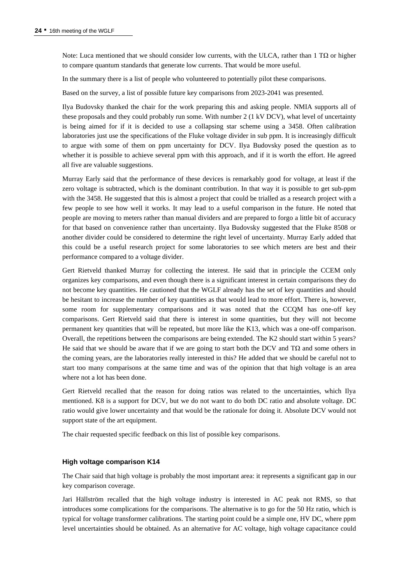Note: Luca mentioned that we should consider low currents, with the ULCA, rather than 1 TΩ or higher to compare quantum standards that generate low currents. That would be more useful.

In the summary there is a list of people who volunteered to potentially pilot these comparisons.

Based on the survey, a list of possible future key comparisons from 2023-2041 was presented.

Ilya Budovsky thanked the chair for the work preparing this and asking people. NMIA supports all of these proposals and they could probably run some. With number 2 (1 kV DCV), what level of uncertainty is being aimed for if it is decided to use a collapsing star scheme using a 3458. Often calibration laboratories just use the specifications of the Fluke voltage divider in sub ppm. It is increasingly difficult to argue with some of them on ppm uncertainty for DCV. Ilya Budovsky posed the question as to whether it is possible to achieve several ppm with this approach, and if it is worth the effort. He agreed all five are valuable suggestions.

Murray Early said that the performance of these devices is remarkably good for voltage, at least if the zero voltage is subtracted, which is the dominant contribution. In that way it is possible to get sub-ppm with the 3458. He suggested that this is almost a project that could be trialled as a research project with a few people to see how well it works. It may lead to a useful comparison in the future. He noted that people are moving to meters rather than manual dividers and are prepared to forgo a little bit of accuracy for that based on convenience rather than uncertainty. Ilya Budovsky suggested that the Fluke 8508 or another divider could be considered to determine the right level of uncertainty. Murray Early added that this could be a useful research project for some laboratories to see which meters are best and their performance compared to a voltage divider.

Gert Rietveld thanked Murray for collecting the interest. He said that in principle the CCEM only organizes key comparisons, and even though there is a significant interest in certain comparisons they do not become key quantities. He cautioned that the WGLF already has the set of key quantities and should be hesitant to increase the number of key quantities as that would lead to more effort. There is, however, some room for supplementary comparisons and it was noted that the CCQM has one-off key comparisons. Gert Rietveld said that there is interest in some quantities, but they will not become permanent key quantities that will be repeated, but more like the K13, which was a one-off comparison. Overall, the repetitions between the comparisons are being extended. The K2 should start within 5 years? He said that we should be aware that if we are going to start both the DCV and T $\Omega$  and some others in the coming years, are the laboratories really interested in this? He added that we should be careful not to start too many comparisons at the same time and was of the opinion that that high voltage is an area where not a lot has been done.

Gert Rietveld recalled that the reason for doing ratios was related to the uncertainties, which Ilya mentioned. K8 is a support for DCV, but we do not want to do both DC ratio and absolute voltage. DC ratio would give lower uncertainty and that would be the rationale for doing it. Absolute DCV would not support state of the art equipment.

The chair requested specific feedback on this list of possible key comparisons.

#### **High voltage comparison K14**

The Chair said that high voltage is probably the most important area: it represents a significant gap in our key comparison coverage.

Jari Hällström recalled that the high voltage industry is interested in AC peak not RMS, so that introduces some complications for the comparisons. The alternative is to go for the 50 Hz ratio, which is typical for voltage transformer calibrations. The starting point could be a simple one, HV DC, where ppm level uncertainties should be obtained. As an alternative for AC voltage, high voltage capacitance could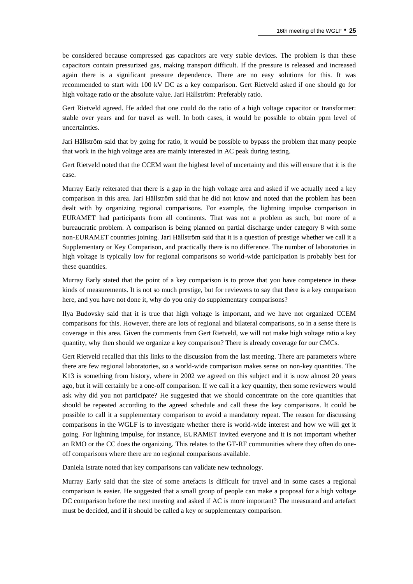be considered because compressed gas capacitors are very stable devices. The problem is that these capacitors contain pressurized gas, making transport difficult. If the pressure is released and increased again there is a significant pressure dependence. There are no easy solutions for this. It was recommended to start with 100 kV DC as a key comparison. Gert Rietveld asked if one should go for high voltage ratio or the absolute value. Jari Hällström: Preferably ratio.

Gert Rietveld agreed. He added that one could do the ratio of a high voltage capacitor or transformer: stable over years and for travel as well. In both cases, it would be possible to obtain ppm level of uncertainties.

Jari Hällström said that by going for ratio, it would be possible to bypass the problem that many people that work in the high voltage area are mainly interested in AC peak during testing.

Gert Rietveld noted that the CCEM want the highest level of uncertainty and this will ensure that it is the case.

Murray Early reiterated that there is a gap in the high voltage area and asked if we actually need a key comparison in this area. Jari Hällström said that he did not know and noted that the problem has been dealt with by organizing regional comparisons. For example, the lightning impulse comparison in EURAMET had participants from all continents. That was not a problem as such, but more of a bureaucratic problem. A comparison is being planned on partial discharge under category 8 with some non-EURAMET countries joining. Jari Hällström said that it is a question of prestige whether we call it a Supplementary or Key Comparison, and practically there is no difference. The number of laboratories in high voltage is typically low for regional comparisons so world-wide participation is probably best for these quantities.

Murray Early stated that the point of a key comparison is to prove that you have competence in these kinds of measurements. It is not so much prestige, but for reviewers to say that there is a key comparison here, and you have not done it, why do you only do supplementary comparisons?

Ilya Budovsky said that it is true that high voltage is important, and we have not organized CCEM comparisons for this. However, there are lots of regional and bilateral comparisons, so in a sense there is coverage in this area. Given the comments from Gert Rietveld, we will not make high voltage ratio a key quantity, why then should we organize a key comparison? There is already coverage for our CMCs.

Gert Rietveld recalled that this links to the discussion from the last meeting. There are parameters where there are few regional laboratories, so a world-wide comparison makes sense on non-key quantities. The K13 is something from history, where in 2002 we agreed on this subject and it is now almost 20 years ago, but it will certainly be a one-off comparison. If we call it a key quantity, then some reviewers would ask why did you not participate? He suggested that we should concentrate on the core quantities that should be repeated according to the agreed schedule and call these the key comparisons. It could be possible to call it a supplementary comparison to avoid a mandatory repeat. The reason for discussing comparisons in the WGLF is to investigate whether there is world-wide interest and how we will get it going. For lightning impulse, for instance, EURAMET invited everyone and it is not important whether an RMO or the CC does the organizing. This relates to the GT-RF communities where they often do oneoff comparisons where there are no regional comparisons available.

Daniela Istrate noted that key comparisons can validate new technology.

Murray Early said that the size of some artefacts is difficult for travel and in some cases a regional comparison is easier. He suggested that a small group of people can make a proposal for a high voltage DC comparison before the next meeting and asked if AC is more important? The measurand and artefact must be decided, and if it should be called a key or supplementary comparison.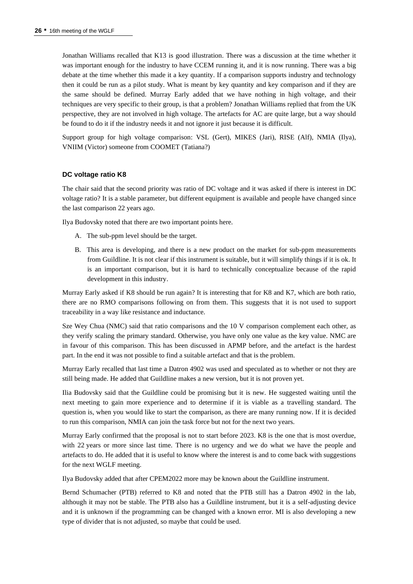Jonathan Williams recalled that K13 is good illustration. There was a discussion at the time whether it was important enough for the industry to have CCEM running it, and it is now running. There was a big debate at the time whether this made it a key quantity. If a comparison supports industry and technology then it could be run as a pilot study. What is meant by key quantity and key comparison and if they are the same should be defined. Murray Early added that we have nothing in high voltage, and their techniques are very specific to their group, is that a problem? Jonathan Williams replied that from the UK perspective, they are not involved in high voltage. The artefacts for AC are quite large, but a way should be found to do it if the industry needs it and not ignore it just because it is difficult.

Support group for high voltage comparison: VSL (Gert), MIKES (Jari), RISE (Alf), NMIA (Ilya), VNIIM (Victor) someone from COOMET (Tatiana?)

#### **DC voltage ratio K8**

The chair said that the second priority was ratio of DC voltage and it was asked if there is interest in DC voltage ratio? It is a stable parameter, but different equipment is available and people have changed since the last comparison 22 years ago.

Ilya Budovsky noted that there are two important points here.

- A. The sub-ppm level should be the target.
- B. This area is developing, and there is a new product on the market for sub-ppm measurements from Guildline. It is not clear if this instrument is suitable, but it will simplify things if it is ok. It is an important comparison, but it is hard to technically conceptualize because of the rapid development in this industry.

Murray Early asked if K8 should be run again? It is interesting that for K8 and K7, which are both ratio, there are no RMO comparisons following on from them. This suggests that it is not used to support traceability in a way like resistance and inductance.

Sze Wey Chua (NMC) said that ratio comparisons and the 10 V comparison complement each other, as they verify scaling the primary standard. Otherwise, you have only one value as the key value. NMC are in favour of this comparison. This has been discussed in APMP before, and the artefact is the hardest part. In the end it was not possible to find a suitable artefact and that is the problem.

Murray Early recalled that last time a Datron 4902 was used and speculated as to whether or not they are still being made. He added that Guildline makes a new version, but it is not proven yet.

Ilia Budovsky said that the Guildline could be promising but it is new. He suggested waiting until the next meeting to gain more experience and to determine if it is viable as a travelling standard. The question is, when you would like to start the comparison, as there are many running now. If it is decided to run this comparison, NMIA can join the task force but not for the next two years.

Murray Early confirmed that the proposal is not to start before 2023. K8 is the one that is most overdue, with 22 years or more since last time. There is no urgency and we do what we have the people and artefacts to do. He added that it is useful to know where the interest is and to come back with suggestions for the next WGLF meeting.

Ilya Budovsky added that after CPEM2022 more may be known about the Guildline instrument.

Bernd Schumacher (PTB) referred to K8 and noted that the PTB still has a Datron 4902 in the lab, although it may not be stable. The PTB also has a Guildline instrument, but it is a self-adjusting device and it is unknown if the programming can be changed with a known error. MI is also developing a new type of divider that is not adjusted, so maybe that could be used.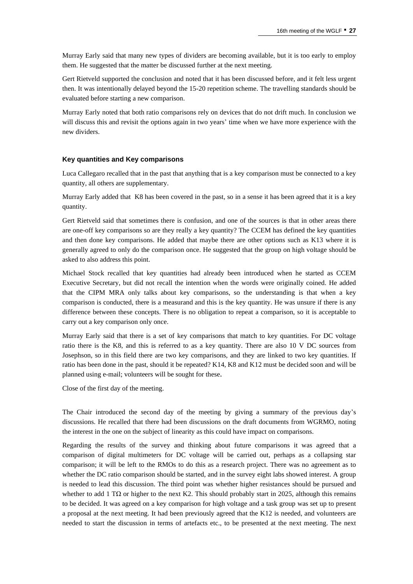Murray Early said that many new types of dividers are becoming available, but it is too early to employ them. He suggested that the matter be discussed further at the next meeting.

Gert Rietveld supported the conclusion and noted that it has been discussed before, and it felt less urgent then. It was intentionally delayed beyond the 15-20 repetition scheme. The travelling standards should be evaluated before starting a new comparison.

Murray Early noted that both ratio comparisons rely on devices that do not drift much. In conclusion we will discuss this and revisit the options again in two years' time when we have more experience with the new dividers.

# **Key quantities and Key comparisons**

Luca Callegaro recalled that in the past that anything that is a key comparison must be connected to a key quantity, all others are supplementary.

Murray Early added that K8 has been covered in the past, so in a sense it has been agreed that it is a key quantity.

Gert Rietveld said that sometimes there is confusion, and one of the sources is that in other areas there are one-off key comparisons so are they really a key quantity? The CCEM has defined the key quantities and then done key comparisons. He added that maybe there are other options such as K13 where it is generally agreed to only do the comparison once. He suggested that the group on high voltage should be asked to also address this point.

Michael Stock recalled that key quantities had already been introduced when he started as CCEM Executive Secretary, but did not recall the intention when the words were originally coined. He added that the CIPM MRA only talks about key comparisons, so the understanding is that when a key comparison is conducted, there is a measurand and this is the key quantity. He was unsure if there is any difference between these concepts. There is no obligation to repeat a comparison, so it is acceptable to carry out a key comparison only once.

Murray Early said that there is a set of key comparisons that match to key quantities. For DC voltage ratio there is the K8, and this is referred to as a key quantity. There are also 10 V DC sources from Josephson, so in this field there are two key comparisons, and they are linked to two key quantities. If ratio has been done in the past, should it be repeated? K14, K8 and K12 must be decided soon and will be planned using e-mail; volunteers will be sought for these.

Close of the first day of the meeting.

The Chair introduced the second day of the meeting by giving a summary of the previous day's discussions. He recalled that there had been discussions on the draft documents from WGRMO, noting the interest in the one on the subject of linearity as this could have impact on comparisons.

Regarding the results of the survey and thinking about future comparisons it was agreed that a comparison of digital multimeters for DC voltage will be carried out, perhaps as a collapsing star comparison; it will be left to the RMOs to do this as a research project. There was no agreement as to whether the DC ratio comparison should be started, and in the survey eight labs showed interest. A group is needed to lead this discussion. The third point was whether higher resistances should be pursued and whether to add 1 T $\Omega$  or higher to the next K2. This should probably start in 2025, although this remains to be decided. It was agreed on a key comparison for high voltage and a task group was set up to present a proposal at the next meeting. It had been previously agreed that the K12 is needed, and volunteers are needed to start the discussion in terms of artefacts etc., to be presented at the next meeting. The next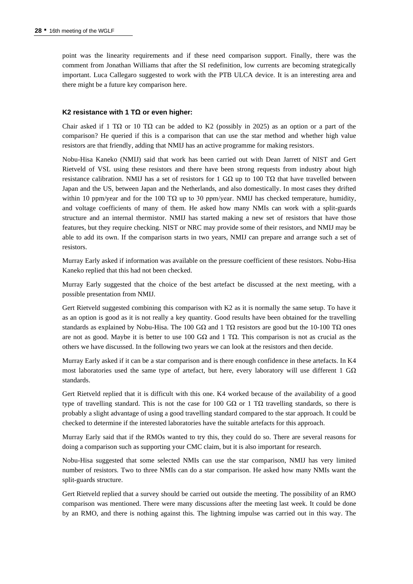point was the linearity requirements and if these need comparison support. Finally, there was the comment from Jonathan Williams that after the SI redefinition, low currents are becoming strategically important. Luca Callegaro suggested to work with the PTB ULCA device. It is an interesting area and there might be a future key comparison here.

#### **K2 resistance with 1 TΩ or even higher:**

Chair asked if 1 T $\Omega$  or 10 T $\Omega$  can be added to K2 (possibly in 2025) as an option or a part of the comparison? He queried if this is a comparison that can use the star method and whether high value resistors are that friendly, adding that NMIJ has an active programme for making resistors.

Nobu-Hisa Kaneko (NMIJ) said that work has been carried out with Dean Jarrett of NIST and Gert Rietveld of VSL using these resistors and there have been strong requests from industry about high resistance calibration. NMIJ has a set of resistors for 1 GΩ up to 100 TΩ that have travelled between Japan and the US, between Japan and the Netherlands, and also domestically. In most cases they drifted within 10 ppm/year and for the 100 T $\Omega$  up to 30 ppm/year. NMIJ has checked temperature, humidity, and voltage coefficients of many of them. He asked how many NMIs can work with a split-guards structure and an internal thermistor. NMIJ has started making a new set of resistors that have those features, but they require checking. NIST or NRC may provide some of their resistors, and NMIJ may be able to add its own. If the comparison starts in two years, NMIJ can prepare and arrange such a set of resistors.

Murray Early asked if information was available on the pressure coefficient of these resistors. Nobu-Hisa Kaneko replied that this had not been checked.

Murray Early suggested that the choice of the best artefact be discussed at the next meeting, with a possible presentation from NMIJ.

Gert Rietveld suggested combining this comparison with K2 as it is normally the same setup. To have it as an option is good as it is not really a key quantity. Good results have been obtained for the travelling standards as explained by Nobu-Hisa. The 100 G $\Omega$  and 1 T $\Omega$  resistors are good but the 10-100 T $\Omega$  ones are not as good. Maybe it is better to use 100 GΩ and 1 TΩ. This comparison is not as crucial as the others we have discussed. In the following two years we can look at the resistors and then decide.

Murray Early asked if it can be a star comparison and is there enough confidence in these artefacts. In K4 most laboratories used the same type of artefact, but here, every laboratory will use different 1  $G\Omega$ standards.

Gert Rietveld replied that it is difficult with this one. K4 worked because of the availability of a good type of travelling standard. This is not the case for 100 G $\Omega$  or 1 T $\Omega$  travelling standards, so there is probably a slight advantage of using a good travelling standard compared to the star approach. It could be checked to determine if the interested laboratories have the suitable artefacts for this approach.

Murray Early said that if the RMOs wanted to try this, they could do so. There are several reasons for doing a comparison such as supporting your CMC claim, but it is also important for research.

Nobu-Hisa suggested that some selected NMIs can use the star comparison, NMIJ has very limited number of resistors. Two to three NMIs can do a star comparison. He asked how many NMIs want the split-guards structure.

Gert Rietveld replied that a survey should be carried out outside the meeting. The possibility of an RMO comparison was mentioned. There were many discussions after the meeting last week. It could be done by an RMO, and there is nothing against this. The lightning impulse was carried out in this way. The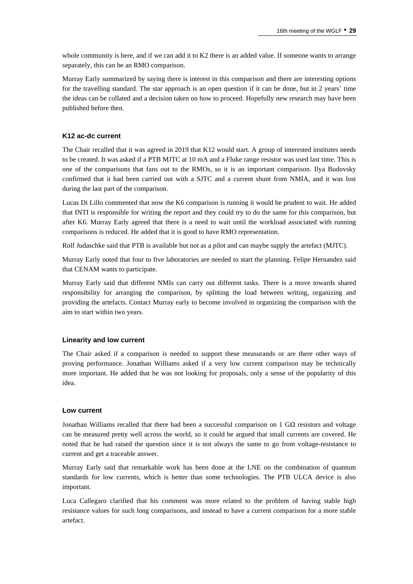whole community is here, and if we can add it to K2 there is an added value. If someone wants to arrange separately, this can be an RMO comparison.

Murray Early summarized by saying there is interest in this comparison and there are interesting options for the travelling standard. The star approach is an open question if it can be done, but in 2 years' time the ideas can be collated and a decision taken on how to proceed. Hopefully new research may have been published before then.

# **K12 ac-dc current**

The Chair recalled that it was agreed in 2019 that K12 would start. A group of interested institutes needs to be created. It was asked if a PTB MJTC at 10 mA and a Fluke range resistor was used last time. This is one of the comparisons that fans out to the RMOs, so it is an important comparison. Ilya Budovsky confirmed that it had been carried out with a SJTC and a current shunt from NMIA, and it was lost during the last part of the comparison.

Lucas Di Lillo commented that now the K6 comparison is running it would be prudent to wait. He added that INTI is responsible for writing the report and they could try to do the same for this comparison, but after K6. Murray Early agreed that there is a need to wait until the workload associated with running comparisons is reduced. He added that it is good to have RMO representation.

Rolf Judaschke said that PTB is available but not as a pilot and can maybe supply the artefact (MJTC).

Murray Early noted that four to five laboratories are needed to start the planning. Felipe Hernandez said that CENAM wants to participate.

Murray Early said that different NMIs can carry out different tasks. There is a move towards shared responsibility for arranging the comparison, by splitting the load between writing, organizing and providing the artefacts. Contact Murray early to become involved in organizing the comparison with the aim to start within two years.

# **Linearity and low current**

The Chair asked if a comparison is needed to support these measurands or are there other ways of proving performance. Jonathan Williams asked if a very low current comparison may be technically more important. He added that he was not looking for proposals, only a sense of the popularity of this idea.

#### **Low current**

Jonathan Williams recalled that there had been a successful comparison on 1 GΩ resistors and voltage can be measured pretty well across the world, so it could be argued that small currents are covered. He noted that he had raised the question since it is not always the same to go from voltage-resistance to current and get a traceable answer.

Murray Early said that remarkable work has been done at the LNE on the combination of quantum standards for low currents, which is better than some technologies. The PTB ULCA device is also important.

Luca Callegaro clarified that his comment was more related to the problem of having stable high resistance values for such long comparisons, and instead to have a current comparison for a more stable artefact.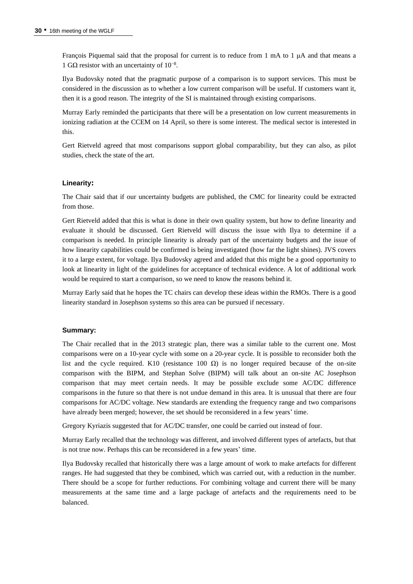François Piquemal said that the proposal for current is to reduce from 1 mA to 1 μA and that means a 1 GΩ resistor with an uncertainty of  $10^{-8}$ .

Ilya Budovsky noted that the pragmatic purpose of a comparison is to support services. This must be considered in the discussion as to whether a low current comparison will be useful. If customers want it, then it is a good reason. The integrity of the SI is maintained through existing comparisons.

Murray Early reminded the participants that there will be a presentation on low current measurements in ionizing radiation at the CCEM on 14 April, so there is some interest. The medical sector is interested in this.

Gert Rietveld agreed that most comparisons support global comparability, but they can also, as pilot studies, check the state of the art.

#### **Linearity:**

The Chair said that if our uncertainty budgets are published, the CMC for linearity could be extracted from those.

Gert Rietveld added that this is what is done in their own quality system, but how to define linearity and evaluate it should be discussed. Gert Rietveld will discuss the issue with Ilya to determine if a comparison is needed. In principle linearity is already part of the uncertainty budgets and the issue of how linearity capabilities could be confirmed is being investigated (how far the light shines). JVS covers it to a large extent, for voltage. Ilya Budovsky agreed and added that this might be a good opportunity to look at linearity in light of the guidelines for acceptance of technical evidence. A lot of additional work would be required to start a comparison, so we need to know the reasons behind it.

Murray Early said that he hopes the TC chairs can develop these ideas within the RMOs. There is a good linearity standard in Josephson systems so this area can be pursued if necessary.

#### **Summary:**

The Chair recalled that in the 2013 strategic plan, there was a similar table to the current one. Most comparisons were on a 10-year cycle with some on a 20-year cycle. It is possible to reconsider both the list and the cycle required. K10 (resistance 100  $\Omega$ ) is no longer required because of the on-site comparison with the BIPM, and Stephan Solve (BIPM) will talk about an on-site AC Josephson comparison that may meet certain needs. It may be possible exclude some AC/DC difference comparisons in the future so that there is not undue demand in this area. It is unusual that there are four comparisons for AC/DC voltage. New standards are extending the frequency range and two comparisons have already been merged; however, the set should be reconsidered in a few years' time.

Gregory Kyriazis suggested that for AC/DC transfer, one could be carried out instead of four.

Murray Early recalled that the technology was different, and involved different types of artefacts, but that is not true now. Perhaps this can be reconsidered in a few years' time.

Ilya Budovsky recalled that historically there was a large amount of work to make artefacts for different ranges. He had suggested that they be combined, which was carried out, with a reduction in the number. There should be a scope for further reductions. For combining voltage and current there will be many measurements at the same time and a large package of artefacts and the requirements need to be balanced.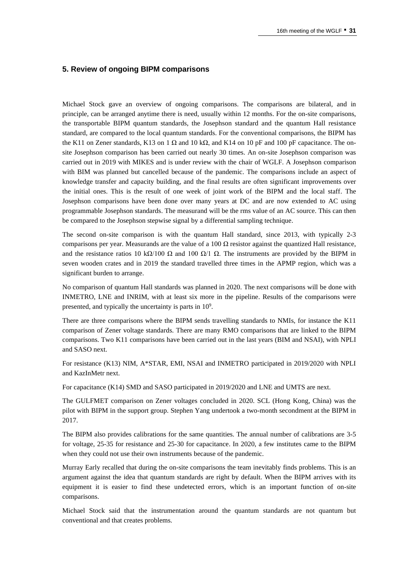#### **5. Review of ongoing BIPM comparisons**

Michael Stock gave an overview of ongoing comparisons. The comparisons are bilateral, and in principle, can be arranged anytime there is need, usually within 12 months. For the on-site comparisons, the transportable BIPM quantum standards, the Josephson standard and the quantum Hall resistance standard, are compared to the local quantum standards. For the conventional comparisons, the BIPM has the K11 on Zener standards, K13 on 1  $\Omega$  and 10 k $\Omega$ , and K14 on 10 pF and 100 pF capacitance. The onsite Josephson comparison has been carried out nearly 30 times. An on-site Josephson comparison was carried out in 2019 with MIKES and is under review with the chair of WGLF. A Josephson comparison with BIM was planned but cancelled because of the pandemic. The comparisons include an aspect of knowledge transfer and capacity building, and the final results are often significant improvements over the initial ones. This is the result of one week of joint work of the BIPM and the local staff. The Josephson comparisons have been done over many years at DC and are now extended to AC using programmable Josephson standards. The measurand will be the rms value of an AC source. This can then be compared to the Josephson stepwise signal by a differential sampling technique.

The second on-site comparison is with the quantum Hall standard, since 2013, with typically 2-3 comparisons per year. Measurands are the value of a 100  $\Omega$  resistor against the quantized Hall resistance, and the resistance ratios 10 k $\Omega/100 \Omega$  and 100  $\Omega/1 \Omega$ . The instruments are provided by the BIPM in seven wooden crates and in 2019 the standard travelled three times in the APMP region, which was a significant burden to arrange.

No comparison of quantum Hall standards was planned in 2020. The next comparisons will be done with INMETRO, LNE and INRIM, with at least six more in the pipeline. Results of the comparisons were presented, and typically the uncertainty is parts in  $10<sup>9</sup>$ .

There are three comparisons where the BIPM sends travelling standards to NMIs, for instance the K11 comparison of Zener voltage standards. There are many RMO comparisons that are linked to the BIPM comparisons. Two K11 comparisons have been carried out in the last years (BIM and NSAI), with NPLI and SASO next.

For resistance (K13) NIM, A\*STAR, EMI, NSAI and INMETRO participated in 2019/2020 with NPLI and KazInMetr next.

For capacitance (K14) SMD and SASO participated in 2019/2020 and LNE and UMTS are next.

The GULFMET comparison on Zener voltages concluded in 2020. SCL (Hong Kong, China) was the pilot with BIPM in the support group. Stephen Yang undertook a two-month secondment at the BIPM in 2017.

The BIPM also provides calibrations for the same quantities. The annual number of calibrations are 3-5 for voltage, 25-35 for resistance and 25-30 for capacitance. In 2020, a few institutes came to the BIPM when they could not use their own instruments because of the pandemic.

Murray Early recalled that during the on-site comparisons the team inevitably finds problems. This is an argument against the idea that quantum standards are right by default. When the BIPM arrives with its equipment it is easier to find these undetected errors, which is an important function of on-site comparisons.

Michael Stock said that the instrumentation around the quantum standards are not quantum but conventional and that creates problems.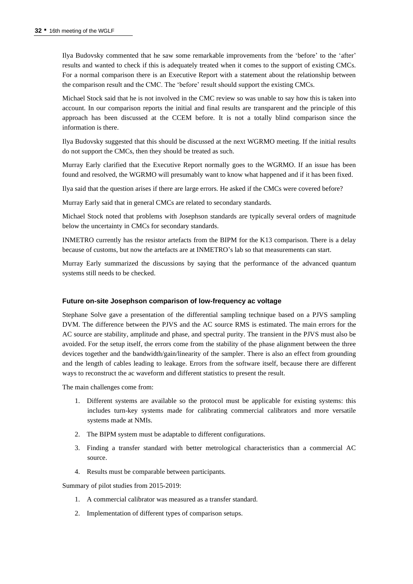Ilya Budovsky commented that he saw some remarkable improvements from the 'before' to the 'after' results and wanted to check if this is adequately treated when it comes to the support of existing CMCs. For a normal comparison there is an Executive Report with a statement about the relationship between the comparison result and the CMC. The 'before' result should support the existing CMCs.

Michael Stock said that he is not involved in the CMC review so was unable to say how this is taken into account. In our comparison reports the initial and final results are transparent and the principle of this approach has been discussed at the CCEM before. It is not a totally blind comparison since the information is there.

Ilya Budovsky suggested that this should be discussed at the next WGRMO meeting. If the initial results do not support the CMCs, then they should be treated as such.

Murray Early clarified that the Executive Report normally goes to the WGRMO. If an issue has been found and resolved, the WGRMO will presumably want to know what happened and if it has been fixed.

Ilya said that the question arises if there are large errors. He asked if the CMCs were covered before?

Murray Early said that in general CMCs are related to secondary standards.

Michael Stock noted that problems with Josephson standards are typically several orders of magnitude below the uncertainty in CMCs for secondary standards.

INMETRO currently has the resistor artefacts from the BIPM for the K13 comparison. There is a delay because of customs, but now the artefacts are at INMETRO's lab so that measurements can start.

Murray Early summarized the discussions by saying that the performance of the advanced quantum systems still needs to be checked.

# **Future on-site Josephson comparison of low-frequency ac voltage**

Stephane Solve gave a presentation of the differential sampling technique based on a PJVS sampling DVM. The difference between the PJVS and the AC source RMS is estimated. The main errors for the AC source are stability, amplitude and phase, and spectral purity. The transient in the PJVS must also be avoided. For the setup itself, the errors come from the stability of the phase alignment between the three devices together and the bandwidth/gain/linearity of the sampler. There is also an effect from grounding and the length of cables leading to leakage. Errors from the software itself, because there are different ways to reconstruct the ac waveform and different statistics to present the result.

The main challenges come from:

- 1. Different systems are available so the protocol must be applicable for existing systems: this includes turn-key systems made for calibrating commercial calibrators and more versatile systems made at NMIs.
- 2. The BIPM system must be adaptable to different configurations.
- 3. Finding a transfer standard with better metrological characteristics than a commercial AC source.
- 4. Results must be comparable between participants.

Summary of pilot studies from 2015-2019:

- 1. A commercial calibrator was measured as a transfer standard.
- 2. Implementation of different types of comparison setups.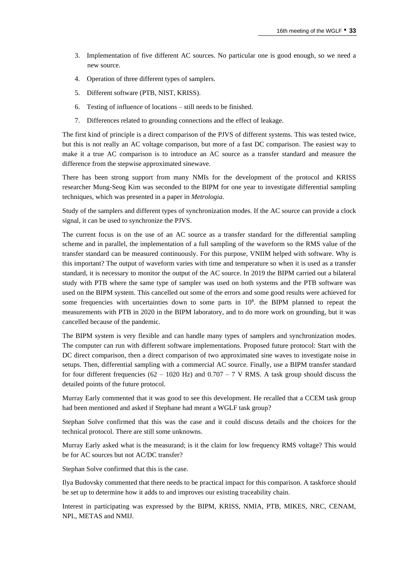- 3. Implementation of five different AC sources. No particular one is good enough, so we need a new source.
- 4. Operation of three different types of samplers.
- 5. Different software (PTB, NIST, KRISS).
- 6. Testing of influence of locations still needs to be finished.
- 7. Differences related to grounding connections and the effect of leakage.

The first kind of principle is a direct comparison of the PJVS of different systems. This was tested twice, but this is not really an AC voltage comparison, but more of a fast DC comparison. The easiest way to make it a true AC comparison is to introduce an AC source as a transfer standard and measure the difference from the stepwise approximated sinewave.

There has been strong support from many NMIs for the development of the protocol and KRISS researcher Mung-Seog Kim was seconded to the BIPM for one year to investigate differential sampling techniques, which was presented in a paper in *Metrologia*.

Study of the samplers and different types of synchronization modes. If the AC source can provide a clock signal, it can be used to synchronize the PJVS.

The current focus is on the use of an AC source as a transfer standard for the differential sampling scheme and in parallel, the implementation of a full sampling of the waveform so the RMS value of the transfer standard can be measured continuously. For this purpose, VNIIM helped with software. Why is this important? The output of waveform varies with time and temperature so when it is used as a transfer standard, it is necessary to monitor the output of the AC source. In 2019 the BIPM carried out a bilateral study with PTB where the same type of sampler was used on both systems and the PTB software was used on the BIPM system. This cancelled out some of the errors and some good results were achieved for some frequencies with uncertainties down to some parts in  $10<sup>8</sup>$ . the BIPM planned to repeat the measurements with PTB in 2020 in the BIPM laboratory, and to do more work on grounding, but it was cancelled because of the pandemic.

The BIPM system is very flexible and can handle many types of samplers and synchronization modes. The computer can run with different software implementations. Proposed future protocol: Start with the DC direct comparison, then a direct comparison of two approximated sine waves to investigate noise in setups. Then, differential sampling with a commercial AC source. Finally, use a BIPM transfer standard for four different frequencies ( $62 - 1020$  Hz) and  $0.707 - 7$  V RMS. A task group should discuss the detailed points of the future protocol.

Murray Early commented that it was good to see this development. He recalled that a CCEM task group had been mentioned and asked if Stephane had meant a WGLF task group?

Stephan Solve confirmed that this was the case and it could discuss details and the choices for the technical protocol. There are still some unknowns.

Murray Early asked what is the measurand; is it the claim for low frequency RMS voltage? This would be for AC sources but not AC/DC transfer?

Stephan Solve confirmed that this is the case.

Ilya Budovsky commented that there needs to be practical impact for this comparison. A taskforce should be set up to determine how it adds to and improves our existing traceability chain.

Interest in participating was expressed by the BIPM, KRISS, NMIA, PTB, MIKES, NRC, CENAM, NPL, METAS and NMIJ.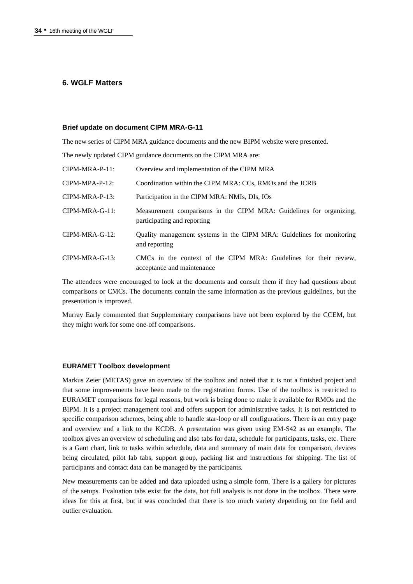# **6. WGLF Matters**

#### **Brief update on document CIPM MRA-G-11**

The new series of CIPM MRA guidance documents and the new BIPM website were presented.

The newly updated CIPM guidance documents on the CIPM MRA are:

| $CIPM-MRA-P-11$ : | Overview and implementation of the CIPM MRA                                                        |
|-------------------|----------------------------------------------------------------------------------------------------|
| $CIPM-MPA-P-12$ : | Coordination within the CIPM MRA: CCs, RMOs and the JCRB                                           |
| CIPM-MRA-P-13:    | Participation in the CIPM MRA: NMIs, DIs, IOs                                                      |
| $CIPM-MRA-G-11$ : | Measurement comparisons in the CIPM MRA: Guidelines for organizing,<br>participating and reporting |
| CIPM-MRA-G-12:    | Quality management systems in the CIPM MRA: Guidelines for monitoring<br>and reporting             |
| $CIPM-MRA-G-13$ : | CMCs in the context of the CIPM MRA: Guidelines for their review,<br>acceptance and maintenance    |

The attendees were encouraged to look at the documents and consult them if they had questions about comparisons or CMCs. The documents contain the same information as the previous guidelines, but the presentation is improved.

Murray Early commented that Supplementary comparisons have not been explored by the CCEM, but they might work for some one-off comparisons.

#### **EURAMET Toolbox development**

Markus Zeier (METAS) gave an overview of the toolbox and noted that it is not a finished project and that some improvements have been made to the registration forms. Use of the toolbox is restricted to EURAMET comparisons for legal reasons, but work is being done to make it available for RMOs and the BIPM. It is a project management tool and offers support for administrative tasks. It is not restricted to specific comparison schemes, being able to handle star-loop or all configurations. There is an entry page and overview and a link to the KCDB. A presentation was given using EM-S42 as an example. The toolbox gives an overview of scheduling and also tabs for data, schedule for participants, tasks, etc. There is a Gant chart, link to tasks within schedule, data and summary of main data for comparison, devices being circulated, pilot lab tabs, support group, packing list and instructions for shipping. The list of participants and contact data can be managed by the participants.

New measurements can be added and data uploaded using a simple form. There is a gallery for pictures of the setups. Evaluation tabs exist for the data, but full analysis is not done in the toolbox. There were ideas for this at first, but it was concluded that there is too much variety depending on the field and outlier evaluation.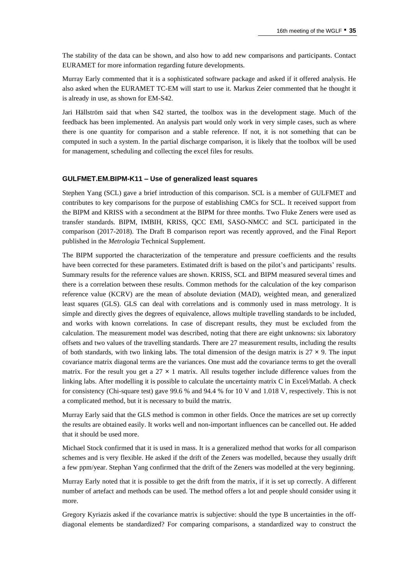The stability of the data can be shown, and also how to add new comparisons and participants. Contact EURAMET for more information regarding future developments.

Murray Early commented that it is a sophisticated software package and asked if it offered analysis. He also asked when the EURAMET TC-EM will start to use it. Markus Zeier commented that he thought it is already in use, as shown for EM-S42.

Jari Hällström said that when S42 started, the toolbox was in the development stage. Much of the feedback has been implemented. An analysis part would only work in very simple cases, such as where there is one quantity for comparison and a stable reference. If not, it is not something that can be computed in such a system. In the partial discharge comparison, it is likely that the toolbox will be used for management, scheduling and collecting the excel files for results.

#### **GULFMET.EM.BIPM-K11 – Use of generalized least squares**

Stephen Yang (SCL) gave a brief introduction of this comparison. SCL is a member of GULFMET and contributes to key comparisons for the purpose of establishing CMCs for SCL. It received support from the BIPM and KRISS with a secondment at the BIPM for three months. Two Fluke Zeners were used as transfer standards. BIPM, IMBIH, KRISS, QCC EMI, SASO-NMCC and SCL participated in the comparison (2017-2018). The Draft B comparison report was recently approved, and the Final Report published in the *Metrologia* Technical Supplement.

The BIPM supported the characterization of the temperature and pressure coefficients and the results have been corrected for these parameters. Estimated drift is based on the pilot's and participants' results. Summary results for the reference values are shown. KRISS, SCL and BIPM measured several times and there is a correlation between these results. Common methods for the calculation of the key comparison reference value (KCRV) are the mean of absolute deviation (MAD), weighted mean, and generalized least squares (GLS). GLS can deal with correlations and is commonly used in mass metrology. It is simple and directly gives the degrees of equivalence, allows multiple travelling standards to be included, and works with known correlations. In case of discrepant results, they must be excluded from the calculation. The measurement model was described, noting that there are eight unknowns: six laboratory offsets and two values of the travelling standards. There are 27 measurement results, including the results of both standards, with two linking labs. The total dimension of the design matrix is  $27 \times 9$ . The input covariance matrix diagonal terms are the variances. One must add the covariance terms to get the overall matrix. For the result you get a  $27 \times 1$  matrix. All results together include difference values from the linking labs. After modelling it is possible to calculate the uncertainty matrix C in Excel/Matlab. A check for consistency (Chi-square test) gave 99.6 % and 94.4 % for 10 V and 1.018 V, respectively. This is not a complicated method, but it is necessary to build the matrix.

Murray Early said that the GLS method is common in other fields. Once the matrices are set up correctly the results are obtained easily. It works well and non-important influences can be cancelled out. He added that it should be used more.

Michael Stock confirmed that it is used in mass. It is a generalized method that works for all comparison schemes and is very flexible. He asked if the drift of the Zeners was modelled, because they usually drift a few ppm/year. Stephan Yang confirmed that the drift of the Zeners was modelled at the very beginning.

Murray Early noted that it is possible to get the drift from the matrix, if it is set up correctly. A different number of artefact and methods can be used. The method offers a lot and people should consider using it more.

Gregory Kyriazis asked if the covariance matrix is subjective: should the type B uncertainties in the offdiagonal elements be standardized? For comparing comparisons, a standardized way to construct the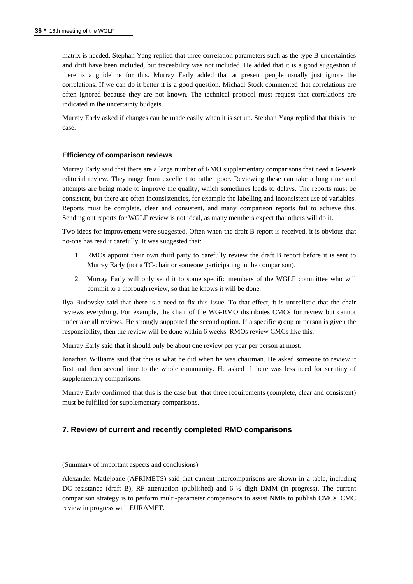matrix is needed. Stephan Yang replied that three correlation parameters such as the type B uncertainties and drift have been included, but traceability was not included. He added that it is a good suggestion if there is a guideline for this. Murray Early added that at present people usually just ignore the correlations. If we can do it better it is a good question. Michael Stock commented that correlations are often ignored because they are not known. The technical protocol must request that correlations are indicated in the uncertainty budgets.

Murray Early asked if changes can be made easily when it is set up. Stephan Yang replied that this is the case.

# **Efficiency of comparison reviews**

Murray Early said that there are a large number of RMO supplementary comparisons that need a 6-week editorial review. They range from excellent to rather poor. Reviewing these can take a long time and attempts are being made to improve the quality, which sometimes leads to delays. The reports must be consistent, but there are often inconsistencies, for example the labelling and inconsistent use of variables. Reports must be complete, clear and consistent, and many comparison reports fail to achieve this. Sending out reports for WGLF review is not ideal, as many members expect that others will do it.

Two ideas for improvement were suggested. Often when the draft B report is received, it is obvious that no-one has read it carefully. It was suggested that:

- 1. RMOs appoint their own third party to carefully review the draft B report before it is sent to Murray Early (not a TC-chair or someone participating in the comparison).
- 2. Murray Early will only send it to some specific members of the WGLF committee who will commit to a thorough review, so that he knows it will be done.

Ilya Budovsky said that there is a need to fix this issue. To that effect, it is unrealistic that the chair reviews everything. For example, the chair of the WG-RMO distributes CMCs for review but cannot undertake all reviews. He strongly supported the second option. If a specific group or person is given the responsibility, then the review will be done within 6 weeks. RMOs review CMCs like this.

Murray Early said that it should only be about one review per year per person at most.

Jonathan Williams said that this is what he did when he was chairman. He asked someone to review it first and then second time to the whole community. He asked if there was less need for scrutiny of supplementary comparisons.

Murray Early confirmed that this is the case but that three requirements (complete, clear and consistent) must be fulfilled for supplementary comparisons.

# **7. Review of current and recently completed RMO comparisons**

#### (Summary of important aspects and conclusions)

Alexander Matlejoane (AFRIMETS) said that current intercomparisons are shown in a table, including DC resistance (draft B), RF attenuation (published) and 6 ½ digit DMM (in progress). The current comparison strategy is to perform multi-parameter comparisons to assist NMIs to publish CMCs. CMC review in progress with EURAMET.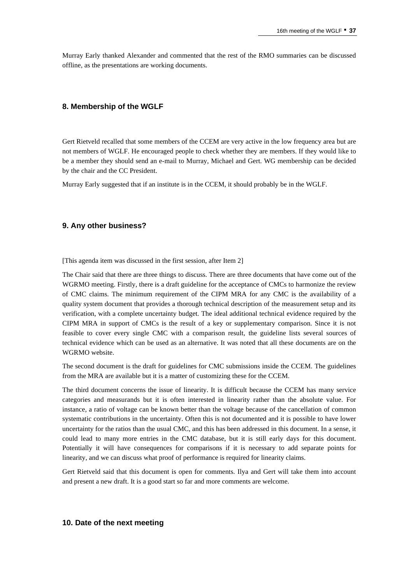Murray Early thanked Alexander and commented that the rest of the RMO summaries can be discussed offline, as the presentations are working documents.

#### **8. Membership of the WGLF**

Gert Rietveld recalled that some members of the CCEM are very active in the low frequency area but are not members of WGLF. He encouraged people to check whether they are members. If they would like to be a member they should send an e-mail to Murray, Michael and Gert. WG membership can be decided by the chair and the CC President.

Murray Early suggested that if an institute is in the CCEM, it should probably be in the WGLF.

# **9. Any other business?**

[This agenda item was discussed in the first session, after Item 2]

The Chair said that there are three things to discuss. There are three documents that have come out of the WGRMO meeting. Firstly, there is a draft guideline for the acceptance of CMCs to harmonize the review of CMC claims. The minimum requirement of the CIPM MRA for any CMC is the availability of a quality system document that provides a thorough technical description of the measurement setup and its verification, with a complete uncertainty budget. The ideal additional technical evidence required by the CIPM MRA in support of CMCs is the result of a key or supplementary comparison. Since it is not feasible to cover every single CMC with a comparison result, the guideline lists several sources of technical evidence which can be used as an alternative. It was noted that all these documents are on the WGRMO website.

The second document is the draft for guidelines for CMC submissions inside the CCEM. The guidelines from the MRA are available but it is a matter of customizing these for the CCEM.

The third document concerns the issue of linearity. It is difficult because the CCEM has many service categories and measurands but it is often interested in linearity rather than the absolute value. For instance, a ratio of voltage can be known better than the voltage because of the cancellation of common systematic contributions in the uncertainty. Often this is not documented and it is possible to have lower uncertainty for the ratios than the usual CMC, and this has been addressed in this document. In a sense, it could lead to many more entries in the CMC database, but it is still early days for this document. Potentially it will have consequences for comparisons if it is necessary to add separate points for linearity, and we can discuss what proof of performance is required for linearity claims.

Gert Rietveld said that this document is open for comments. Ilya and Gert will take them into account and present a new draft. It is a good start so far and more comments are welcome.

# **10. Date of the next meeting**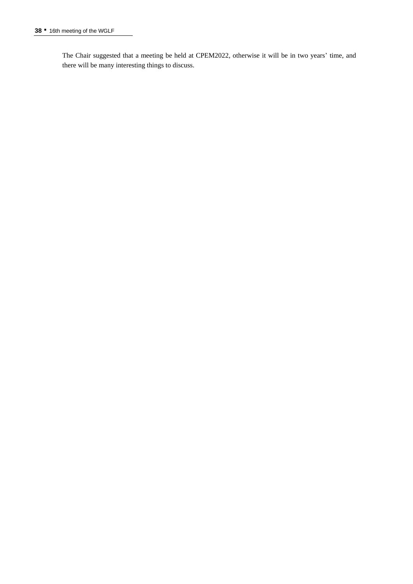The Chair suggested that a meeting be held at CPEM2022, otherwise it will be in two years' time, and there will be many interesting things to discuss.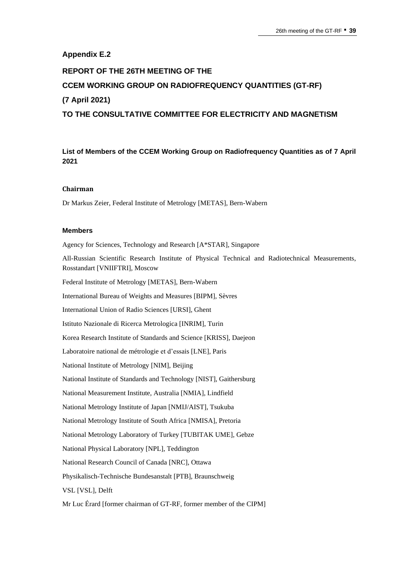# **Appendix E.2**

# **REPORT OF THE 26TH MEETING OF THE CCEM WORKING GROUP ON RADIOFREQUENCY QUANTITIES (GT-RF) (7 April 2021) TO THE CONSULTATIVE COMMITTEE FOR ELECTRICITY AND MAGNETISM**

# **List of Members of the CCEM Working Group on Radiofrequency Quantities as of 7 April 2021**

# **Chairman**

Dr Markus Zeier, Federal Institute of Metrology [METAS], Bern-Wabern

#### **Members**

Agency for Sciences, Technology and Research [A\*STAR], Singapore

All-Russian Scientific Research Institute of Physical Technical and Radiotechnical Measurements, Rosstandart [VNIIFTRI], Moscow

Federal Institute of Metrology [METAS], Bern-Wabern

International Bureau of Weights and Measures [BIPM], Sèvres

International Union of Radio Sciences [URSI], Ghent

Istituto Nazionale di Ricerca Metrologica [INRIM], Turin

Korea Research Institute of Standards and Science [KRISS], Daejeon

Laboratoire national de métrologie et d'essais [LNE], Paris

National Institute of Metrology [NIM], Beijing

National Institute of Standards and Technology [NIST], Gaithersburg

National Measurement Institute, Australia [NMIA], Lindfield

National Metrology Institute of Japan [NMIJ/AIST], Tsukuba

National Metrology Institute of South Africa [NMISA], Pretoria

National Metrology Laboratory of Turkey [TUBITAK UME], Gebze

National Physical Laboratory [NPL], Teddington

National Research Council of Canada [NRC], Ottawa

Physikalisch-Technische Bundesanstalt [PTB], Braunschweig

VSL [VSL], Delft

Mr Luc Érard [former chairman of GT-RF, former member of the CIPM]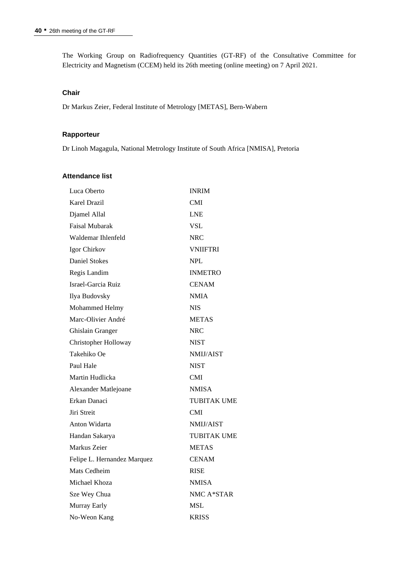The Working Group on Radiofrequency Quantities (GT-RF) of the Consultative Committee for Electricity and Magnetism (CCEM) held its 26th meeting (online meeting) on 7 April 2021.

# **Chair**

Dr Markus Zeier, Federal Institute of Metrology [METAS], Bern-Wabern

# **Rapporteur**

Dr Linoh Magagula, National Metrology Institute of South Africa [NMISA], Pretoria

# **Attendance list**

| Luca Oberto                 | <b>INRIM</b>       |
|-----------------------------|--------------------|
| Karel Drazil                | CMI                |
| Djamel Allal                | <b>LNE</b>         |
| <b>Faisal Mubarak</b>       | <b>VSL</b>         |
| Waldemar Ihlenfeld          | <b>NRC</b>         |
| Igor Chirkov                | <b>VNIIFTRI</b>    |
| <b>Daniel Stokes</b>        | <b>NPL</b>         |
| Regis Landim                | <b>INMETRO</b>     |
| Israel-Garcia Ruiz          | <b>CENAM</b>       |
| Ilya Budovsky               | <b>NMIA</b>        |
| Mohammed Helmy              | <b>NIS</b>         |
| Marc-Olivier André          | <b>METAS</b>       |
| Ghislain Granger            | NRC                |
| Christopher Holloway        | NIST               |
| Takehiko Oe                 | NMIJ/AIST          |
| Paul Hale                   | <b>NIST</b>        |
| Martin Hudlicka             | <b>CMI</b>         |
| Alexander Matlejoane        | <b>NMISA</b>       |
| Erkan Danaci                | TUBITAK UME        |
| Jiri Streit                 | <b>CMI</b>         |
| Anton Widarta               | NMIJ/AIST          |
| Handan Sakarya              | <b>TUBITAK UME</b> |
| Markus Zeier                | <b>METAS</b>       |
| Felipe L. Hernandez Marquez | <b>CENAM</b>       |
| Mats Cedheim                | <b>RISE</b>        |
| Michael Khoza               | <b>NMISA</b>       |
| Sze Wey Chua                | NMC A*STAR         |
| Murray Early                | MSL                |
| No-Weon Kang                | <b>KRISS</b>       |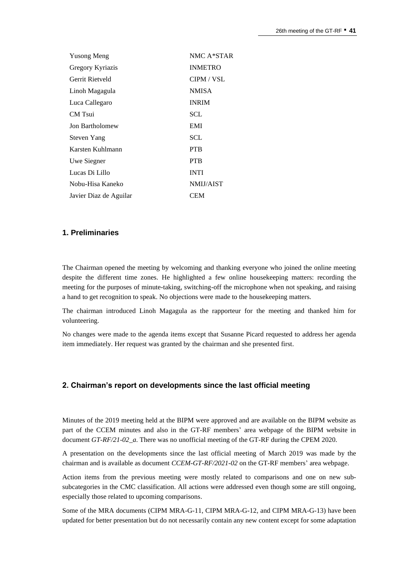| <b>Yusong Meng</b>     | NMC A*STAR        |
|------------------------|-------------------|
| Gregory Kyriazis       | <b>INMETRO</b>    |
| Gerrit Rietveld        | <b>CIPM / VSL</b> |
| Linoh Magagula         | <b>NMISA</b>      |
| Luca Callegaro         | <b>INRIM</b>      |
| CM Tsui                | SCL               |
| Jon Bartholomew        | <b>EMI</b>        |
| Steven Yang            | SCL               |
| Karsten Kuhlmann       | <b>PTB</b>        |
| Uwe Siegner            | <b>PTB</b>        |
| Lucas Di Lillo         | <b>INTI</b>       |
| Nobu-Hisa Kaneko       | NMIJ/AIST         |
| Javier Diaz de Aguilar | CEM               |

# **1. Preliminaries**

The Chairman opened the meeting by welcoming and thanking everyone who joined the online meeting despite the different time zones. He highlighted a few online housekeeping matters: recording the meeting for the purposes of minute-taking, switching-off the microphone when not speaking, and raising a hand to get recognition to speak. No objections were made to the housekeeping matters.

The chairman introduced Linoh Magagula as the rapporteur for the meeting and thanked him for volunteering.

No changes were made to the agenda items except that Susanne Picard requested to address her agenda item immediately. Her request was granted by the chairman and she presented first.

# **2. Chairman's report on developments since the last official meeting**

Minutes of the 2019 meeting held at the BIPM were approved and are available on the BIPM website as part of the CCEM minutes and also in the GT-RF members' area webpage of the BIPM website in document *GT-RF/21-02\_a*. There was no unofficial meeting of the GT-RF during the CPEM 2020.

A presentation on the developments since the last official meeting of March 2019 was made by the chairman and is available as document *CCEM-GT-RF/2021-02* on the GT-RF members' area webpage.

Action items from the previous meeting were mostly related to comparisons and one on new subsubcategories in the CMC classification. All actions were addressed even though some are still ongoing, especially those related to upcoming comparisons.

Some of the MRA documents (CIPM MRA-G-11, CIPM MRA-G-12, and CIPM MRA-G-13) have been updated for better presentation but do not necessarily contain any new content except for some adaptation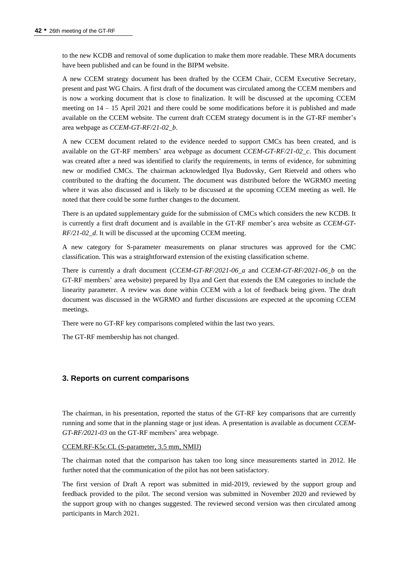to the new KCDB and removal of some duplication to make them more readable. These MRA documents have been published and can be found in the BIPM website.

A new CCEM strategy document has been drafted by the CCEM Chair, CCEM Executive Secretary, present and past WG Chairs. A first draft of the document was circulated among the CCEM members and is now a working document that is close to finalization. It will be discussed at the upcoming CCEM meeting on 14 – 15 April 2021 and there could be some modifications before it is published and made available on the CCEM website. The current draft CCEM strategy document is in the GT-RF member's area webpage as *CCEM-GT-RF/21-02\_b*.

A new CCEM document related to the evidence needed to support CMCs has been created, and is available on the GT-RF members' area webpage as document *CCEM-GT-RF/21-02\_c*. This document was created after a need was identified to clarify the requirements, in terms of evidence, for submitting new or modified CMCs. The chairman acknowledged Ilya Budovsky, Gert Rietveld and others who contributed to the drafting the document. The document was distributed before the WGRMO meeting where it was also discussed and is likely to be discussed at the upcoming CCEM meeting as well. He noted that there could be some further changes to the document.

There is an updated supplementary guide for the submission of CMCs which considers the new KCDB. It is currently a first draft document and is available in the GT-RF member's area website as *CCEM-GT-RF/21-02 d.* It will be discussed at the upcoming CCEM meeting.

A new category for S-parameter measurements on planar structures was approved for the CMC classification. This was a straightforward extension of the existing classification scheme.

There is currently a draft document (*CCEM-GT-RF/2021-06\_a* and *CCEM-GT-RF/2021-06\_b* on the GT-RF members' area website) prepared by Ilya and Gert that extends the EM categories to include the linearity parameter. A review was done within CCEM with a lot of feedback being given. The draft document was discussed in the WGRMO and further discussions are expected at the upcoming CCEM meetings.

There were no GT-RF key comparisons completed within the last two years.

The GT-RF membership has not changed.

# **3. Reports on current comparisons**

The chairman, in his presentation, reported the status of the GT-RF key comparisons that are currently running and some that in the planning stage or just ideas. A presentation is available as document *CCEM-GT-RF/2021-03* on the GT-RF members' area webpage.

# CCEM.RF-K5c.CL (S-parameter, 3.5 mm, NMIJ)

The chairman noted that the comparison has taken too long since measurements started in 2012. He further noted that the communication of the pilot has not been satisfactory.

The first version of Draft A report was submitted in mid-2019, reviewed by the support group and feedback provided to the pilot. The second version was submitted in November 2020 and reviewed by the support group with no changes suggested. The reviewed second version was then circulated among participants in March 2021.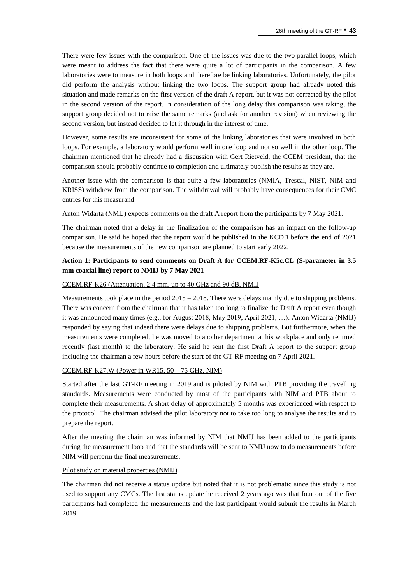There were few issues with the comparison. One of the issues was due to the two parallel loops, which were meant to address the fact that there were quite a lot of participants in the comparison. A few laboratories were to measure in both loops and therefore be linking laboratories. Unfortunately, the pilot did perform the analysis without linking the two loops. The support group had already noted this situation and made remarks on the first version of the draft A report, but it was not corrected by the pilot in the second version of the report. In consideration of the long delay this comparison was taking, the support group decided not to raise the same remarks (and ask for another revision) when reviewing the second version, but instead decided to let it through in the interest of time.

However, some results are inconsistent for some of the linking laboratories that were involved in both loops. For example, a laboratory would perform well in one loop and not so well in the other loop. The chairman mentioned that he already had a discussion with Gert Rietveld, the CCEM president, that the comparison should probably continue to completion and ultimately publish the results as they are.

Another issue with the comparison is that quite a few laboratories (NMIA, Trescal, NIST, NIM and KRISS) withdrew from the comparison. The withdrawal will probably have consequences for their CMC entries for this measurand.

Anton Widarta (NMIJ) expects comments on the draft A report from the participants by 7 May 2021.

The chairman noted that a delay in the finalization of the comparison has an impact on the follow-up comparison. He said he hoped that the report would be published in the KCDB before the end of 2021 because the measurements of the new comparison are planned to start early 2022.

# **Action 1: Participants to send comments on Draft A for CCEM.RF-K5c.CL (S-parameter in 3.5 mm coaxial line) report to NMIJ by 7 May 2021**

#### CCEM.RF-K26 (Attenuation, 2.4 mm, up to 40 GHz and 90 dB, NMIJ

Measurements took place in the period  $2015 - 2018$ . There were delays mainly due to shipping problems. There was concern from the chairman that it has taken too long to finalize the Draft A report even though it was announced many times (e.g., for August 2018, May 2019, April 2021, …). Anton Widarta (NMIJ) responded by saying that indeed there were delays due to shipping problems. But furthermore, when the measurements were completed, he was moved to another department at his workplace and only returned recently (last month) to the laboratory. He said he sent the first Draft A report to the support group including the chairman a few hours before the start of the GT-RF meeting on 7 April 2021.

#### CCEM.RF-K27.W (Power in WR15, 50 – 75 GHz, NIM)

Started after the last GT-RF meeting in 2019 and is piloted by NIM with PTB providing the travelling standards. Measurements were conducted by most of the participants with NIM and PTB about to complete their measurements. A short delay of approximately 5 months was experienced with respect to the protocol. The chairman advised the pilot laboratory not to take too long to analyse the results and to prepare the report.

After the meeting the chairman was informed by NIM that NMIJ has been added to the participants during the measurement loop and that the standards will be sent to NMIJ now to do measurements before NIM will perform the final measurements.

#### Pilot study on material properties (NMIJ)

The chairman did not receive a status update but noted that it is not problematic since this study is not used to support any CMCs. The last status update he received 2 years ago was that four out of the five participants had completed the measurements and the last participant would submit the results in March 2019.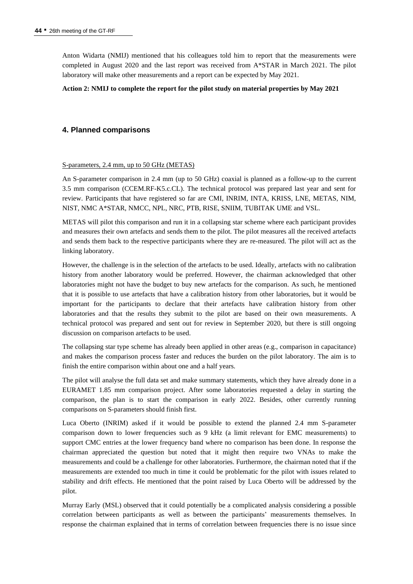Anton Widarta (NMIJ) mentioned that his colleagues told him to report that the measurements were completed in August 2020 and the last report was received from A\*STAR in March 2021. The pilot laboratory will make other measurements and a report can be expected by May 2021.

#### **Action 2: NMIJ to complete the report for the pilot study on material properties by May 2021**

# **4. Planned comparisons**

#### S-parameters, 2.4 mm, up to 50 GHz (METAS)

An S-parameter comparison in 2.4 mm (up to 50 GHz) coaxial is planned as a follow-up to the current 3.5 mm comparison (CCEM.RF-K5.c.CL). The technical protocol was prepared last year and sent for review. Participants that have registered so far are CMI, INRIM, INTA, KRISS, LNE, METAS, NIM, NIST, NMC A\*STAR, NMCC, NPL, NRC, PTB, RISE, SNIIM, TUBITAK UME and VSL.

METAS will pilot this comparison and run it in a collapsing star scheme where each participant provides and measures their own artefacts and sends them to the pilot. The pilot measures all the received artefacts and sends them back to the respective participants where they are re-measured. The pilot will act as the linking laboratory.

However, the challenge is in the selection of the artefacts to be used. Ideally, artefacts with no calibration history from another laboratory would be preferred. However, the chairman acknowledged that other laboratories might not have the budget to buy new artefacts for the comparison. As such, he mentioned that it is possible to use artefacts that have a calibration history from other laboratories, but it would be important for the participants to declare that their artefacts have calibration history from other laboratories and that the results they submit to the pilot are based on their own measurements. A technical protocol was prepared and sent out for review in September 2020, but there is still ongoing discussion on comparison artefacts to be used.

The collapsing star type scheme has already been applied in other areas (e.g., comparison in capacitance) and makes the comparison process faster and reduces the burden on the pilot laboratory. The aim is to finish the entire comparison within about one and a half years.

The pilot will analyse the full data set and make summary statements, which they have already done in a EURAMET 1.85 mm comparison project. After some laboratories requested a delay in starting the comparison, the plan is to start the comparison in early 2022. Besides, other currently running comparisons on S-parameters should finish first.

Luca Oberto (INRIM) asked if it would be possible to extend the planned 2.4 mm S-parameter comparison down to lower frequencies such as 9 kHz (a limit relevant for EMC measurements) to support CMC entries at the lower frequency band where no comparison has been done. In response the chairman appreciated the question but noted that it might then require two VNAs to make the measurements and could be a challenge for other laboratories. Furthermore, the chairman noted that if the measurements are extended too much in time it could be problematic for the pilot with issues related to stability and drift effects. He mentioned that the point raised by Luca Oberto will be addressed by the pilot.

Murray Early (MSL) observed that it could potentially be a complicated analysis considering a possible correlation between participants as well as between the participants' measurements themselves. In response the chairman explained that in terms of correlation between frequencies there is no issue since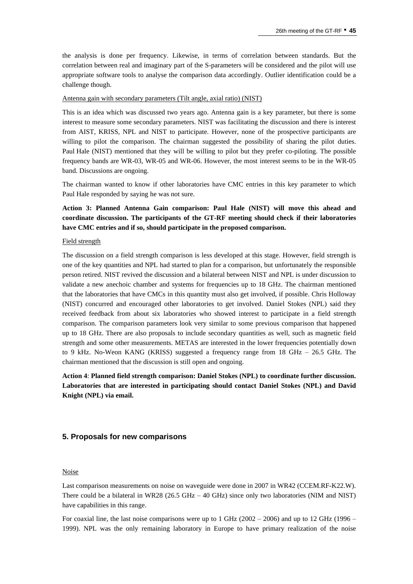the analysis is done per frequency. Likewise, in terms of correlation between standards. But the correlation between real and imaginary part of the S-parameters will be considered and the pilot will use appropriate software tools to analyse the comparison data accordingly. Outlier identification could be a challenge though.

#### Antenna gain with secondary parameters (Tilt angle, axial ratio) (NIST)

This is an idea which was discussed two years ago. Antenna gain is a key parameter, but there is some interest to measure some secondary parameters. NIST was facilitating the discussion and there is interest from AIST, KRISS, NPL and NIST to participate. However, none of the prospective participants are willing to pilot the comparison. The chairman suggested the possibility of sharing the pilot duties. Paul Hale (NIST) mentioned that they will be willing to pilot but they prefer co-piloting. The possible frequency bands are WR-03, WR-05 and WR-06. However, the most interest seems to be in the WR-05 band. Discussions are ongoing.

The chairman wanted to know if other laboratories have CMC entries in this key parameter to which Paul Hale responded by saying he was not sure.

**Action 3: Planned Antenna Gain comparison: Paul Hale (NIST) will move this ahead and coordinate discussion. The participants of the GT-RF meeting should check if their laboratories have CMC entries and if so, should participate in the proposed comparison.**

# Field strength

The discussion on a field strength comparison is less developed at this stage. However, field strength is one of the key quantities and NPL had started to plan for a comparison, but unfortunately the responsible person retired. NIST revived the discussion and a bilateral between NIST and NPL is under discussion to validate a new anechoic chamber and systems for frequencies up to 18 GHz. The chairman mentioned that the laboratories that have CMCs in this quantity must also get involved, if possible. Chris Holloway (NIST) concurred and encouraged other laboratories to get involved. Daniel Stokes (NPL) said they received feedback from about six laboratories who showed interest to participate in a field strength comparison. The comparison parameters look very similar to some previous comparison that happened up to 18 GHz. There are also proposals to include secondary quantities as well, such as magnetic field strength and some other measurements. METAS are interested in the lower frequencies potentially down to 9 kHz. No-Weon KANG (KRISS) suggested a frequency range from 18 GHz – 26.5 GHz. The chairman mentioned that the discussion is still open and ongoing.

**Action 4**: **Planned field strength comparison: Daniel Stokes (NPL) to coordinate further discussion. Laboratories that are interested in participating should contact Daniel Stokes (NPL) and David Knight (NPL) via email.**

# **5. Proposals for new comparisons**

#### Noise

Last comparison measurements on noise on waveguide were done in 2007 in WR42 (CCEM.RF-K22.W). There could be a bilateral in WR28 (26.5 GHz – 40 GHz) since only two laboratories (NIM and NIST) have capabilities in this range.

For coaxial line, the last noise comparisons were up to  $1 \text{ GHz} (2002 - 2006)$  and up to  $12 \text{ GHz} (1996 - 12)$ 1999). NPL was the only remaining laboratory in Europe to have primary realization of the noise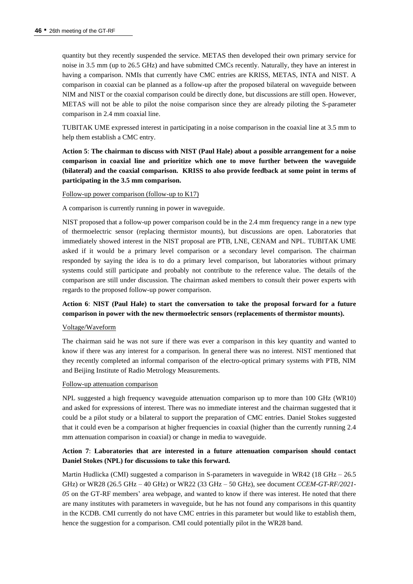quantity but they recently suspended the service. METAS then developed their own primary service for noise in 3.5 mm (up to 26.5 GHz) and have submitted CMCs recently. Naturally, they have an interest in having a comparison. NMIs that currently have CMC entries are KRISS, METAS, INTA and NIST. A comparison in coaxial can be planned as a follow-up after the proposed bilateral on waveguide between NIM and NIST or the coaxial comparison could be directly done, but discussions are still open. However, METAS will not be able to pilot the noise comparison since they are already piloting the S-parameter comparison in 2.4 mm coaxial line.

TUBITAK UME expressed interest in participating in a noise comparison in the coaxial line at 3.5 mm to help them establish a CMC entry.

**Action 5**: **The chairman to discuss with NIST (Paul Hale) about a possible arrangement for a noise comparison in coaxial line and prioritize which one to move further between the waveguide (bilateral) and the coaxial comparison. KRISS to also provide feedback at some point in terms of participating in the 3.5 mm comparison.**

# Follow-up power comparison (follow-up to K17)

A comparison is currently running in power in waveguide.

NIST proposed that a follow-up power comparison could be in the 2.4 mm frequency range in a new type of thermoelectric sensor (replacing thermistor mounts), but discussions are open. Laboratories that immediately showed interest in the NIST proposal are PTB, LNE, CENAM and NPL. TUBITAK UME asked if it would be a primary level comparison or a secondary level comparison. The chairman responded by saying the idea is to do a primary level comparison, but laboratories without primary systems could still participate and probably not contribute to the reference value. The details of the comparison are still under discussion. The chairman asked members to consult their power experts with regards to the proposed follow-up power comparison.

# **Action 6**: **NIST (Paul Hale) to start the conversation to take the proposal forward for a future comparison in power with the new thermoelectric sensors (replacements of thermistor mounts).**

# Voltage/Waveform

The chairman said he was not sure if there was ever a comparison in this key quantity and wanted to know if there was any interest for a comparison. In general there was no interest. NIST mentioned that they recently completed an informal comparison of the electro-optical primary systems with PTB, NIM and Beijing Institute of Radio Metrology Measurements.

#### Follow-up attenuation comparison

NPL suggested a high frequency waveguide attenuation comparison up to more than 100 GHz (WR10) and asked for expressions of interest. There was no immediate interest and the chairman suggested that it could be a pilot study or a bilateral to support the preparation of CMC entries. Daniel Stokes suggested that it could even be a comparison at higher frequencies in coaxial (higher than the currently running 2.4 mm attenuation comparison in coaxial) or change in media to waveguide.

# **Action 7**: **Laboratories that are interested in a future attenuation comparison should contact Daniel Stokes (NPL) for discussions to take this forward.**

Martin Hudlicka (CMI) suggested a comparison in S-parameters in waveguide in WR42 (18 GHz – 26.5 GHz) or WR28 (26.5 GHz – 40 GHz) or WR22 (33 GHz – 50 GHz), see document *CCEM-GT-RF/2021- 05* on the GT-RF members' area webpage, and wanted to know if there was interest. He noted that there are many institutes with parameters in waveguide, but he has not found any comparisons in this quantity in the KCDB. CMI currently do not have CMC entries in this parameter but would like to establish them, hence the suggestion for a comparison. CMI could potentially pilot in the WR28 band.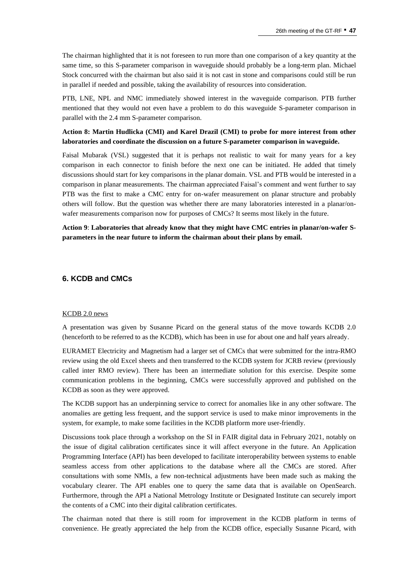The chairman highlighted that it is not foreseen to run more than one comparison of a key quantity at the same time, so this S-parameter comparison in waveguide should probably be a long-term plan. Michael Stock concurred with the chairman but also said it is not cast in stone and comparisons could still be run in parallel if needed and possible, taking the availability of resources into consideration.

PTB, LNE, NPL and NMC immediately showed interest in the waveguide comparison. PTB further mentioned that they would not even have a problem to do this waveguide S-parameter comparison in parallel with the 2.4 mm S-parameter comparison.

# **Action 8: Martin Hudlicka (CMI) and Karel Drazil (CMI) to probe for more interest from other laboratories and coordinate the discussion on a future S-parameter comparison in waveguide.**

Faisal Mubarak (VSL) suggested that it is perhaps not realistic to wait for many years for a key comparison in each connector to finish before the next one can be initiated. He added that timely discussions should start for key comparisons in the planar domain. VSL and PTB would be interested in a comparison in planar measurements. The chairman appreciated Faisal's comment and went further to say PTB was the first to make a CMC entry for on-wafer measurement on planar structure and probably others will follow. But the question was whether there are many laboratories interested in a planar/onwafer measurements comparison now for purposes of CMCs? It seems most likely in the future.

**Action 9**: **Laboratories that already know that they might have CMC entries in planar/on-wafer Sparameters in the near future to inform the chairman about their plans by email.**

# **6. KCDB and CMCs**

#### KCDB 2.0 news

A presentation was given by Susanne Picard on the general status of the move towards KCDB 2.0 (henceforth to be referred to as the KCDB), which has been in use for about one and half years already.

EURAMET Electricity and Magnetism had a larger set of CMCs that were submitted for the intra-RMO review using the old Excel sheets and then transferred to the KCDB system for JCRB review (previously called inter RMO review). There has been an intermediate solution for this exercise. Despite some communication problems in the beginning, CMCs were successfully approved and published on the KCDB as soon as they were approved.

The KCDB support has an underpinning service to correct for anomalies like in any other software. The anomalies are getting less frequent, and the support service is used to make minor improvements in the system, for example, to make some facilities in the KCDB platform more user-friendly.

Discussions took place through a workshop on the SI in FAIR digital data in February 2021, notably on the issue of digital calibration certificates since it will affect everyone in the future. An Application Programming Interface (API) has been developed to facilitate interoperability between systems to enable seamless access from other applications to the database where all the CMCs are stored. After consultations with some NMIs, a few non-technical adjustments have been made such as making the vocabulary clearer. The API enables one to query the same data that is available on OpenSearch. Furthermore, through the API a National Metrology Institute or Designated Institute can securely import the contents of a CMC into their digital calibration certificates.

The chairman noted that there is still room for improvement in the KCDB platform in terms of convenience. He greatly appreciated the help from the KCDB office, especially Susanne Picard, with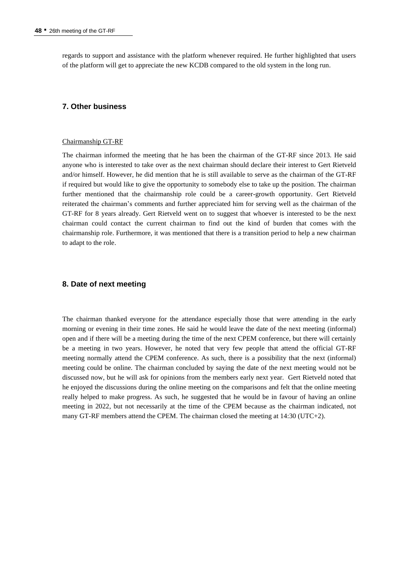regards to support and assistance with the platform whenever required. He further highlighted that users of the platform will get to appreciate the new KCDB compared to the old system in the long run.

#### **7. Other business**

#### Chairmanship GT-RF

The chairman informed the meeting that he has been the chairman of the GT-RF since 2013. He said anyone who is interested to take over as the next chairman should declare their interest to Gert Rietveld and/or himself. However, he did mention that he is still available to serve as the chairman of the GT-RF if required but would like to give the opportunity to somebody else to take up the position. The chairman further mentioned that the chairmanship role could be a career-growth opportunity. Gert Rietveld reiterated the chairman's comments and further appreciated him for serving well as the chairman of the GT-RF for 8 years already. Gert Rietveld went on to suggest that whoever is interested to be the next chairman could contact the current chairman to find out the kind of burden that comes with the chairmanship role. Furthermore, it was mentioned that there is a transition period to help a new chairman to adapt to the role.

# **8. Date of next meeting**

The chairman thanked everyone for the attendance especially those that were attending in the early morning or evening in their time zones. He said he would leave the date of the next meeting (informal) open and if there will be a meeting during the time of the next CPEM conference, but there will certainly be a meeting in two years. However, he noted that very few people that attend the official GT-RF meeting normally attend the CPEM conference. As such, there is a possibility that the next (informal) meeting could be online. The chairman concluded by saying the date of the next meeting would not be discussed now, but he will ask for opinions from the members early next year. Gert Rietveld noted that he enjoyed the discussions during the online meeting on the comparisons and felt that the online meeting really helped to make progress. As such, he suggested that he would be in favour of having an online meeting in 2022, but not necessarily at the time of the CPEM because as the chairman indicated, not many GT-RF members attend the CPEM. The chairman closed the meeting at 14:30 (UTC+2).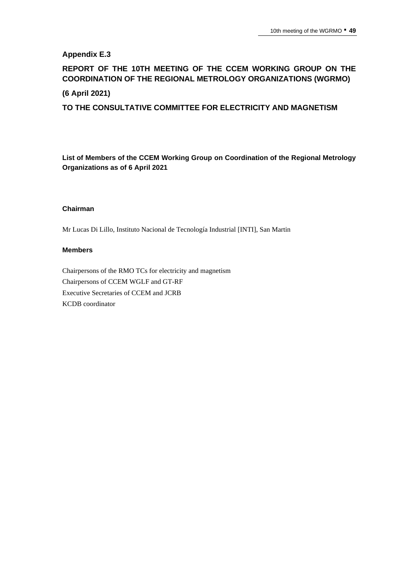# **Appendix E.3**

# **REPORT OF THE 10TH MEETING OF THE CCEM WORKING GROUP ON THE COORDINATION OF THE REGIONAL METROLOGY ORGANIZATIONS (WGRMO)**

# **(6 April 2021)**

# **TO THE CONSULTATIVE COMMITTEE FOR ELECTRICITY AND MAGNETISM**

**List of Members of the CCEM Working Group on Coordination of the Regional Metrology Organizations as of 6 April 2021**

# **Chairman**

Mr Lucas Di Lillo, Instituto Nacional de Tecnología Industrial [INTI], San Martin

# **Members**

Chairpersons of the RMO TCs for electricity and magnetism Chairpersons of CCEM WGLF and GT-RF Executive Secretaries of CCEM and JCRB KCDB coordinator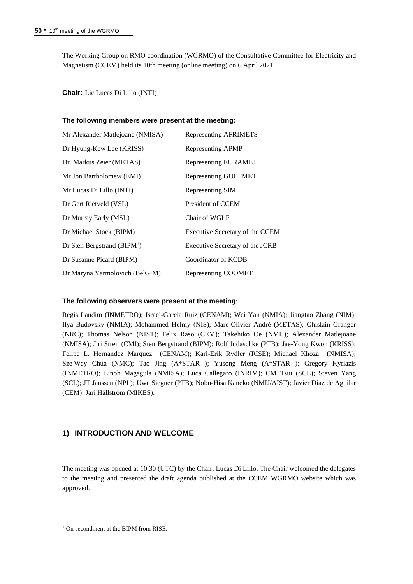The Working Group on RMO coordination (WGRMO) of the Consultative Committee for Electricity and Magnetism (CCEM) held its 10th meeting (online meeting) on 6 April 2021.

**Chair:** Lic Lucas Di Lillo (INTI)

# **The following members were present at the meeting:**

| Mr Alexander Matlejoane (NMISA)         | <b>Representing AFRIMETS</b>    |
|-----------------------------------------|---------------------------------|
| Dr Hyung-Kew Lee (KRISS)                | Representing APMP               |
| Dr. Markus Zeier (METAS)                | <b>Representing EURAMET</b>     |
| Mr Jon Bartholomew (EMI)                | Representing GULFMET            |
| Mr Lucas Di Lillo (INTI)                | Representing SIM                |
| Dr Gert Rietveld (VSL)                  | President of CCEM               |
| Dr Murray Early (MSL)                   | Chair of WGLF                   |
| Dr Michael Stock (BIPM)                 | Executive Secretary of the CCEM |
| Dr Sten Bergstrand (BIPM <sup>1</sup> ) | Executive Secretary of the JCRB |
| Dr Susanne Picard (BIPM)                | Coordinator of KCDB             |
| Dr Maryna Yarmolovich (BelGIM)          | <b>Representing COOMET</b>      |

# **The following observers were present at the meeting**:

Regis Landim (INMETRO); Israel-Garcia Ruiz (CENAM); Wei Yan (NMIA); Jiangtao Zhang (NIM); Ilya Budovsky (NMIA); Mohammed Helmy (NIS); Marc-Olivier André (METAS); Ghislain Granger (NRC); Thomas Nelson (NIST); Felix Raso (CEM); Takehiko Oe (NMIJ); Alexander Matlejoane (NMISA); Jiri Streit (CMI); Sten Bergstrand (BIPM); Rolf Judaschke (PTB); Jae-Yong Kwon (KRISS); Felipe L. Hernandez Marquez (CENAM); Karl-Erik Rydler (RISE); Michael Khoza (NMISA); Sze Wey Chua (NMC); Tao Jing (A\*STAR ); Yusong Meng (A\*STAR ); Gregory Kyriazis (INMETRO); Linoh Magagula (NMISA); Luca Callegaro (INRIM); CM Tsui (SCL); Steven Yang (SCL); JT Janssen (NPL); Uwe Siegner (PTB); Nobu-Hisa Kaneko (NMIJ/AIST); Javier Diaz de Aguilar (CEM); Jari Hällström (MIKES).

# **1) INTRODUCTION AND WELCOME**

The meeting was opened at 10:30 (UTC) by the Chair, Lucas Di Lillo. The Chair welcomed the delegates to the meeting and presented the draft agenda published at the CCEM WGRMO website which was approved.

<sup>&</sup>lt;sup>1</sup> On secondment at the BIPM from RISE.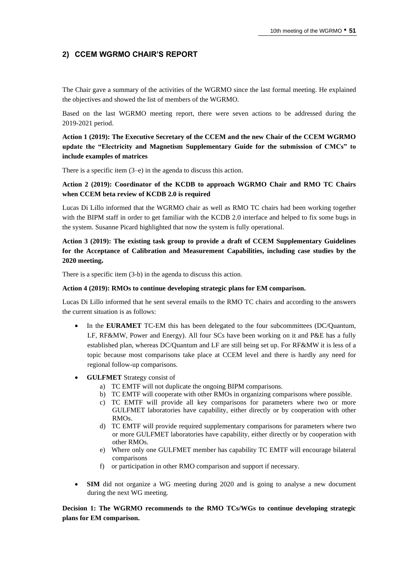# **2) CCEM WGRMO CHAIR'S REPORT**

The Chair gave a summary of the activities of the WGRMO since the last formal meeting. He explained the objectives and showed the list of members of the WGRMO.

Based on the last WGRMO meeting report, there were seven actions to be addressed during the 2019-2021 period.

**Action 1 (2019): The Executive Secretary of the CCEM and the new Chair of the CCEM WGRMO update the "Electricity and Magnetism Supplementary Guide for the submission of CMCs" to include examples of matrices**

There is a specific item (3–e) in the agenda to discuss this action.

**Action 2 (2019): Coordinator of the KCDB to approach WGRMO Chair and RMO TC Chairs when CCEM beta review of KCDB 2.0 is required**

Lucas Di Lillo informed that the WGRMO chair as well as RMO TC chairs had been working together with the BIPM staff in order to get familiar with the KCDB 2.0 interface and helped to fix some bugs in the system. Susanne Picard highlighted that now the system is fully operational.

**Action 3 (2019): The existing task group to provide a draft of CCEM Supplementary Guidelines for the Acceptance of Calibration and Measurement Capabilities, including case studies by the 2020 meeting***.*

There is a specific item (3-b) in the agenda to discuss this action.

# **Action 4 (2019): RMOs to continue developing strategic plans for EM comparison.**

Lucas Di Lillo informed that he sent several emails to the RMO TC chairs and according to the answers the current situation is as follows:

- In the **EURAMET** TC-EM this has been delegated to the four subcommittees (DC/Quantum, LF, RF&MW, Power and Energy). All four SCs have been working on it and P&E has a fully established plan, whereas DC/Quantum and LF are still being set up. For RF&MW it is less of a topic because most comparisons take place at CCEM level and there is hardly any need for regional follow-up comparisons.
- **GULFMET** Strategy consist of
	- a) TC EMTF will not duplicate the ongoing BIPM comparisons.
	- b) TC EMTF will cooperate with other RMOs in organizing comparisons where possible.
	- c) TC EMTF will provide all key comparisons for parameters where two or more GULFMET laboratories have capability, either directly or by cooperation with other RMOs.
	- d) TC EMTF will provide required supplementary comparisons for parameters where two or more GULFMET laboratories have capability, either directly or by cooperation with other RMOs.
	- e) Where only one GULFMET member has capability TC EMTF will encourage bilateral comparisons
	- f) or participation in other RMO comparison and support if necessary.
- **SIM** did not organize a WG meeting during 2020 and is going to analyse a new document during the next WG meeting.

**Decision 1: The WGRMO recommends to the RMO TCs/WGs to continue developing strategic plans for EM comparison.**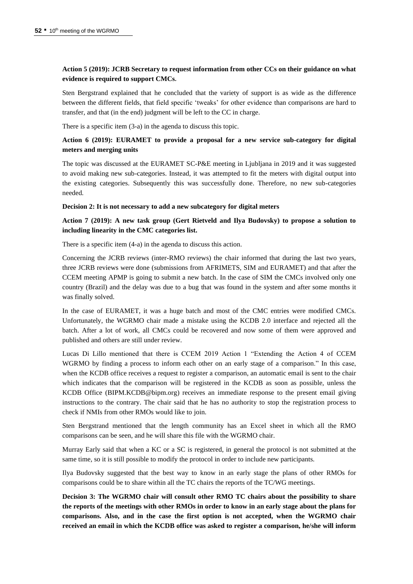# **Action 5 (2019): JCRB Secretary to request information from other CCs on their guidance on what evidence is required to support CMCs***.*

Sten Bergstrand explained that he concluded that the variety of support is as wide as the difference between the different fields, that field specific 'tweaks' for other evidence than comparisons are hard to transfer, and that (in the end) judgment will be left to the CC in charge.

There is a specific item (3-a) in the agenda to discuss this topic.

# **Action 6 (2019): EURAMET to provide a proposal for a new service sub-category for digital meters and merging units**

The topic was discussed at the EURAMET SC-P&E meeting in Ljubljana in 2019 and it was suggested to avoid making new sub-categories. Instead, it was attempted to fit the meters with digital output into the existing categories. Subsequently this was successfully done. Therefore, no new sub-categories needed*.*

# **Decision 2: It is not necessary to add a new subcategory for digital meters**

# **Action 7 (2019): A new task group (Gert Rietveld and Ilya Budovsky) to propose a solution to including linearity in the CMC categories list.**

There is a specific item (4-a) in the agenda to discuss this action.

Concerning the JCRB reviews (inter-RMO reviews) the chair informed that during the last two years, three JCRB reviews were done (submissions from AFRIMETS, SIM and EURAMET) and that after the CCEM meeting APMP is going to submit a new batch. In the case of SIM the CMCs involved only one country (Brazil) and the delay was due to a bug that was found in the system and after some months it was finally solved.

In the case of EURAMET, it was a huge batch and most of the CMC entries were modified CMCs. Unfortunately, the WGRMO chair made a mistake using the KCDB 2.0 interface and rejected all the batch. After a lot of work, all CMCs could be recovered and now some of them were approved and published and others are still under review.

Lucas Di Lillo mentioned that there is CCEM 2019 Action 1 "Extending the Action 4 of CCEM WGRMO by finding a process to inform each other on an early stage of a comparison." In this case, when the KCDB office receives a request to register a comparison, an automatic email is sent to the chair which indicates that the comparison will be registered in the KCDB as soon as possible, unless the KCDB Office [\(BIPM.KCDB@bipm.org\)](mailto:BIPM.KCDB@bipm.org) receives an immediate response to the present email giving instructions to the contrary. The chair said that he has no authority to stop the registration process to check if NMIs from other RMOs would like to join.

Sten Bergstrand mentioned that the length community has an Excel sheet in which all the RMO comparisons can be seen, and he will share this file with the WGRMO chair.

Murray Early said that when a KC or a SC is registered, in general the protocol is not submitted at the same time, so it is still possible to modify the protocol in order to include new participants.

Ilya Budovsky suggested that the best way to know in an early stage the plans of other RMOs for comparisons could be to share within all the TC chairs the reports of the TC/WG meetings.

**Decision 3: The WGRMO chair will consult other RMO TC chairs about the possibility to share the reports of the meetings with other RMOs in order to know in an early stage about the plans for comparisons. Also, and in the case the first option is not accepted, when the WGRMO chair received an email in which the KCDB office was asked to register a comparison, he/she will inform**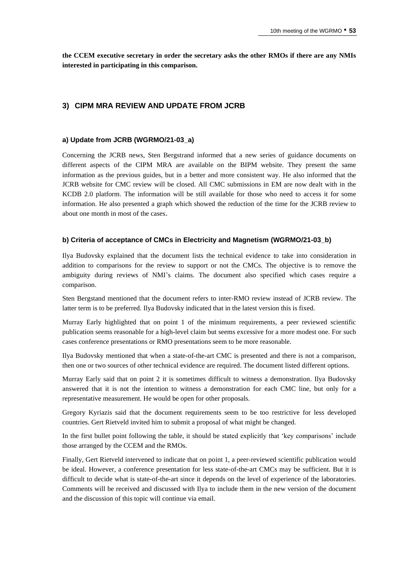**the CCEM executive secretary in order the secretary asks the other RMOs if there are any NMIs interested in participating in this comparison.**

# **3) CIPM MRA REVIEW AND UPDATE FROM JCRB**

#### **a) Update from JCRB (WGRMO/21-03\_a)**

Concerning the JCRB news, Sten Bergstrand informed that a new series of guidance documents on different aspects of the CIPM MRA are available on the BIPM website. They present the same information as the previous guides, but in a better and more consistent way. He also informed that the JCRB website for CMC review will be closed. All CMC submissions in EM are now dealt with in the KCDB 2.0 platform. The information will be still available for those who need to access it for some information. He also presented a graph which showed the reduction of the time for the JCRB review to about one month in most of the cases.

#### **b) Criteria of acceptance of CMCs in Electricity and Magnetism (WGRMO/21-03\_b)**

Ilya Budovsky explained that the document lists the technical evidence to take into consideration in addition to comparisons for the review to support or not the CMCs. The objective is to remove the ambiguity during reviews of NMI's claims. The document also specified which cases require a comparison.

Sten Bergstand mentioned that the document refers to inter-RMO review instead of JCRB review. The latter term is to be preferred. Ilya Budovsky indicated that in the latest version this is fixed.

Murray Early highlighted that on point 1 of the minimum requirements, a peer reviewed scientific publication seems reasonable for a high-level claim but seems excessive for a more modest one. For such cases conference presentations or RMO presentations seem to be more reasonable.

Ilya Budovsky mentioned that when a state-of-the-art CMC is presented and there is not a comparison, then one or two sources of other technical evidence are required. The document listed different options.

Murray Early said that on point 2 it is sometimes difficult to witness a demonstration. Ilya Budovsky answered that it is not the intention to witness a demonstration for each CMC line, but only for a representative measurement. He would be open for other proposals.

Gregory Kyriazis said that the document requirements seem to be too restrictive for less developed countries. Gert Rietveld invited him to submit a proposal of what might be changed.

In the first bullet point following the table, it should be stated explicitly that 'key comparisons' include those arranged by the CCEM and the RMOs.

Finally, Gert Rietveld intervened to indicate that on point 1, a peer-reviewed scientific publication would be ideal. However, a conference presentation for less state-of-the-art CMCs may be sufficient. But it is difficult to decide what is state-of-the-art since it depends on the level of experience of the laboratories. Comments will be received and discussed with Ilya to include them in the new version of the document and the discussion of this topic will continue via email.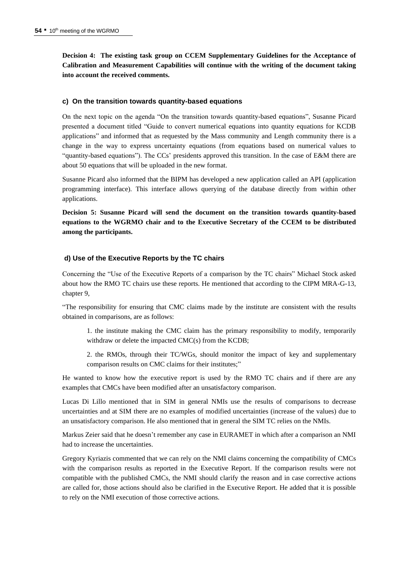**Decision 4: The existing task group on CCEM Supplementary Guidelines for the Acceptance of Calibration and Measurement Capabilities will continue with the writing of the document taking into account the received comments.**

# **c) On the transition towards quantity-based equations**

On the next topic on the agenda "On the transition towards quantity-based equations", Susanne Picard presented a document titled "Guide to convert numerical equations into quantity equations for KCDB applications" and informed that as requested by the Mass community and Length community there is a change in the way to express uncertainty equations (from equations based on numerical values to "quantity-based equations"). The CCs' presidents approved this transition. In the case of E&M there are about 50 equations that will be uploaded in the new format.

Susanne Picard also informed that the BIPM has developed a new application called an API (application programming interface). This interface allows querying of the database directly from within other applications.

**Decision 5: Susanne Picard will send the document on the transition towards quantity-based equations to the WGRMO chair and to the Executive Secretary of the CCEM to be distributed among the participants.**

# **d) Use of the Executive Reports by the TC chairs**

Concerning the "Use of the Executive Reports of a comparison by the TC chairs" Michael Stock asked about how the RMO TC chairs use these reports. He mentioned that according to the CIPM MRA-G-13, chapter 9,

"The responsibility for ensuring that CMC claims made by the institute are consistent with the results obtained in comparisons, are as follows:

1. the institute making the CMC claim has the primary responsibility to modify, temporarily withdraw or delete the impacted CMC(s) from the KCDB;

2. the RMOs, through their TC/WGs, should monitor the impact of key and supplementary comparison results on CMC claims for their institutes;"

He wanted to know how the executive report is used by the RMO TC chairs and if there are any examples that CMCs have been modified after an unsatisfactory comparison.

Lucas Di Lillo mentioned that in SIM in general NMIs use the results of comparisons to decrease uncertainties and at SIM there are no examples of modified uncertainties (increase of the values) due to an unsatisfactory comparison. He also mentioned that in general the SIM TC relies on the NMIs.

Markus Zeier said that he doesn't remember any case in EURAMET in which after a comparison an NMI had to increase the uncertainties.

Gregory Kyriazis commented that we can rely on the NMI claims concerning the compatibility of CMCs with the comparison results as reported in the Executive Report. If the comparison results were not compatible with the published CMCs, the NMI should clarify the reason and in case corrective actions are called for, those actions should also be clarified in the Executive Report. He added that it is possible to rely on the NMI execution of those corrective actions.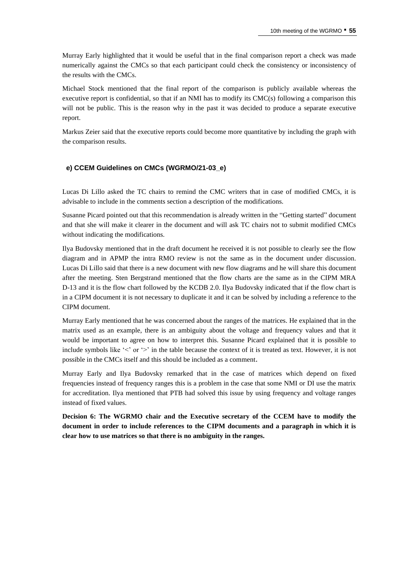Murray Early highlighted that it would be useful that in the final comparison report a check was made numerically against the CMCs so that each participant could check the consistency or inconsistency of the results with the CMCs.

Michael Stock mentioned that the final report of the comparison is publicly available whereas the executive report is confidential, so that if an NMI has to modify its CMC(s) following a comparison this will not be public. This is the reason why in the past it was decided to produce a separate executive report.

Markus Zeier said that the executive reports could become more quantitative by including the graph with the comparison results.

# **e) CCEM Guidelines on CMCs (WGRMO/21-03\_e)**

Lucas Di Lillo asked the TC chairs to remind the CMC writers that in case of modified CMCs, it is advisable to include in the comments section a description of the modifications.

Susanne Picard pointed out that this recommendation is already written in the "Getting started" document and that she will make it clearer in the document and will ask TC chairs not to submit modified CMCs without indicating the modifications.

Ilya Budovsky mentioned that in the draft document he received it is not possible to clearly see the flow diagram and in APMP the intra RMO review is not the same as in the document under discussion. Lucas Di Lillo said that there is a new document with new flow diagrams and he will share this document after the meeting. Sten Bergstrand mentioned that the flow charts are the same as in the CIPM MRA D-13 and it is the flow chart followed by the KCDB 2.0. Ilya Budovsky indicated that if the flow chart is in a CIPM document it is not necessary to duplicate it and it can be solved by including a reference to the CIPM document.

Murray Early mentioned that he was concerned about the ranges of the matrices. He explained that in the matrix used as an example, there is an ambiguity about the voltage and frequency values and that it would be important to agree on how to interpret this. Susanne Picard explained that it is possible to include symbols like ' $\lt'$  or ' $>$ ' in the table because the context of it is treated as text. However, it is not possible in the CMCs itself and this should be included as a comment.

Murray Early and Ilya Budovsky remarked that in the case of matrices which depend on fixed frequencies instead of frequency ranges this is a problem in the case that some NMI or DI use the matrix for accreditation. Ilya mentioned that PTB had solved this issue by using frequency and voltage ranges instead of fixed values.

**Decision 6: The WGRMO chair and the Executive secretary of the CCEM have to modify the document in order to include references to the CIPM documents and a paragraph in which it is clear how to use matrices so that there is no ambiguity in the ranges.**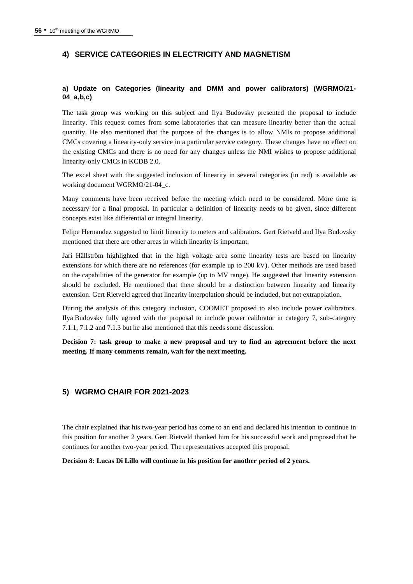# **4) SERVICE CATEGORIES IN ELECTRICITY AND MAGNETISM**

# **a) Update on Categories (linearity and DMM and power calibrators) (WGRMO/21- 04\_a,b,c)**

The task group was working on this subject and Ilya Budovsky presented the proposal to include linearity. This request comes from some laboratories that can measure linearity better than the actual quantity. He also mentioned that the purpose of the changes is to allow NMIs to propose additional CMCs covering a linearity‐only service in a particular service category. These changes have no effect on the existing CMCs and there is no need for any changes unless the NMI wishes to propose additional linearity‐only CMCs in KCDB 2.0.

The excel sheet with the suggested inclusion of linearity in several categories (in red) is available as working document WGRMO/21-04\_c.

Many comments have been received before the meeting which need to be considered. More time is necessary for a final proposal. In particular a definition of linearity needs to be given, since different concepts exist like differential or integral linearity.

Felipe Hernandez suggested to limit linearity to meters and calibrators. Gert Rietveld and Ilya Budovsky mentioned that there are other areas in which linearity is important.

Jari Hällström highlighted that in the high voltage area some linearity tests are based on linearity extensions for which there are no references (for example up to 200 kV). Other methods are used based on the capabilities of the generator for example (up to MV range). He suggested that linearity extension should be excluded. He mentioned that there should be a distinction between linearity and linearity extension. Gert Rietveld agreed that linearity interpolation should be included, but not extrapolation.

During the analysis of this category inclusion, COOMET proposed to also include power calibrators. Ilya Budovsky fully agreed with the proposal to include power calibrator in category 7, sub-category 7.1.1, 7.1.2 and 7.1.3 but he also mentioned that this needs some discussion.

**Decision 7: task group to make a new proposal and try to find an agreement before the next meeting. If many comments remain, wait for the next meeting.**

# **5) WGRMO CHAIR FOR 2021-2023**

The chair explained that his two-year period has come to an end and declared his intention to continue in this position for another 2 years. Gert Rietveld thanked him for his successful work and proposed that he continues for another two-year period. The representatives accepted this proposal.

#### **Decision 8: Lucas Di Lillo will continue in his position for another period of 2 years.**